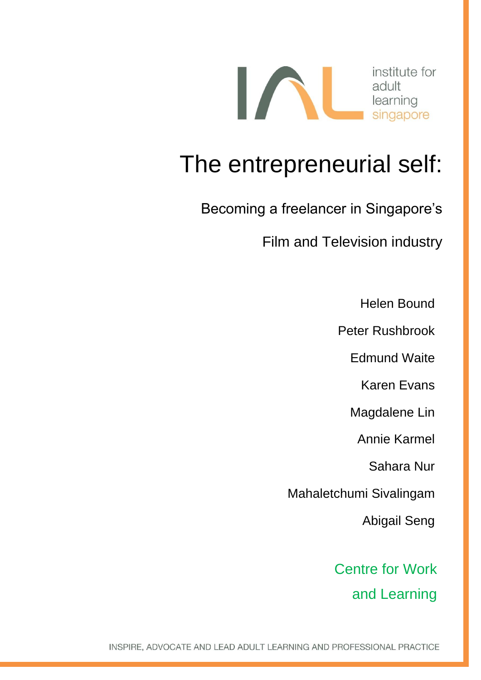

## The entrepreneurial self:

Becoming a freelancer in Singapore's

Film and Television industry

Helen Bound

Peter Rushbrook

Edmund Waite

Karen Evans

Magdalene Lin

Annie Karmel

Sahara Nur

Mahaletchumi Sivalingam

Abigail Seng

Centre for Work and Learning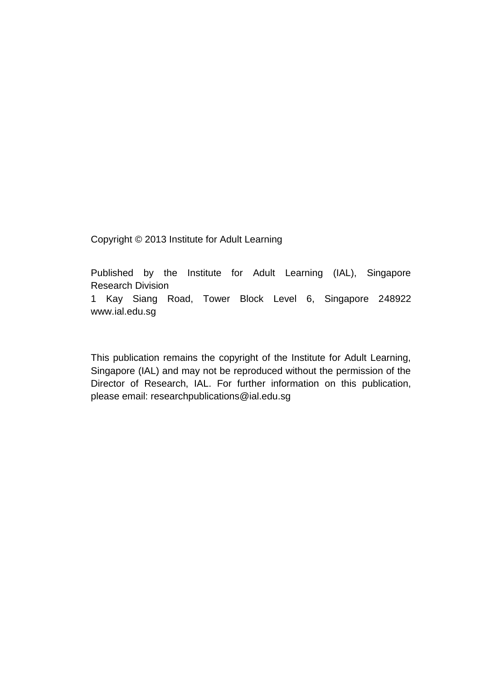Copyright © 2013 Institute for Adult Learning

Published by the Institute for Adult Learning (IAL), Singapore Research Division

1 Kay Siang Road, Tower Block Level 6, Singapore 248922 www.ial.edu.sg

This publication remains the copyright of the Institute for Adult Learning, Singapore (IAL) and may not be reproduced without the permission of the Director of Research, IAL. For further information on this publication, please email: researchpublications@ial.edu.sg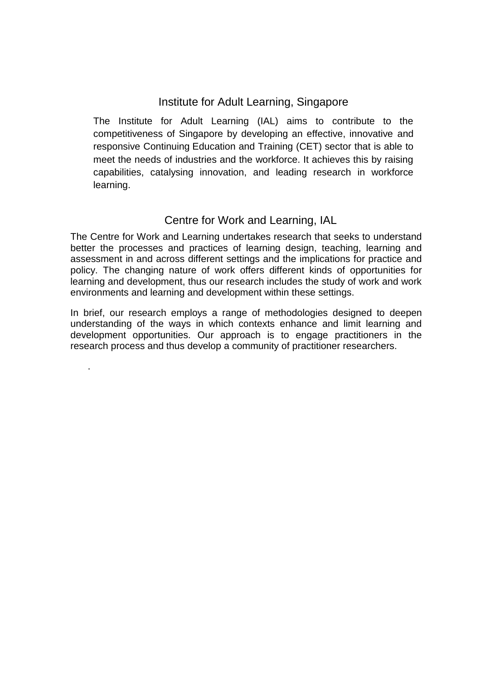#### Institute for Adult Learning, Singapore

The Institute for Adult Learning (IAL) aims to contribute to the competitiveness of Singapore by developing an effective, innovative and responsive Continuing Education and Training (CET) sector that is able to meet the needs of industries and the workforce. It achieves this by raising capabilities, catalysing innovation, and leading research in workforce learning.

#### Centre for Work and Learning, IAL

The Centre for Work and Learning undertakes research that seeks to understand better the processes and practices of learning design, teaching, learning and assessment in and across different settings and the implications for practice and policy. The changing nature of work offers different kinds of opportunities for learning and development, thus our research includes the study of work and work environments and learning and development within these settings.

In brief, our research employs a range of methodologies designed to deepen understanding of the ways in which contexts enhance and limit learning and development opportunities. Our approach is to engage practitioners in the research process and thus develop a community of practitioner researchers.

.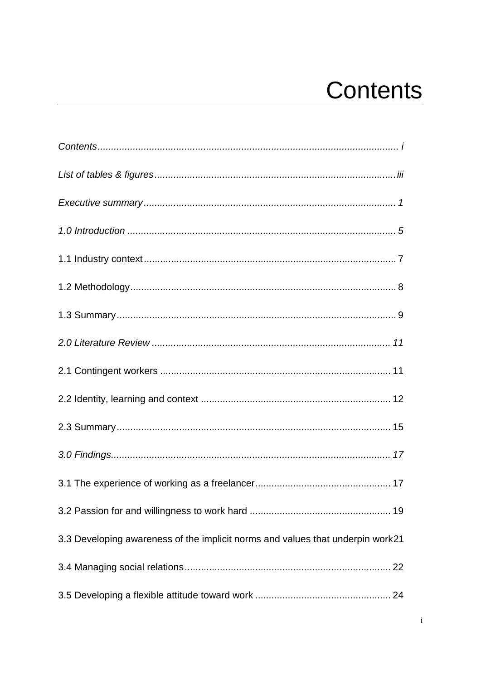# **Contents**

<span id="page-3-0"></span>

| 3.3 Developing awareness of the implicit norms and values that underpin work21 |
|--------------------------------------------------------------------------------|
|                                                                                |
|                                                                                |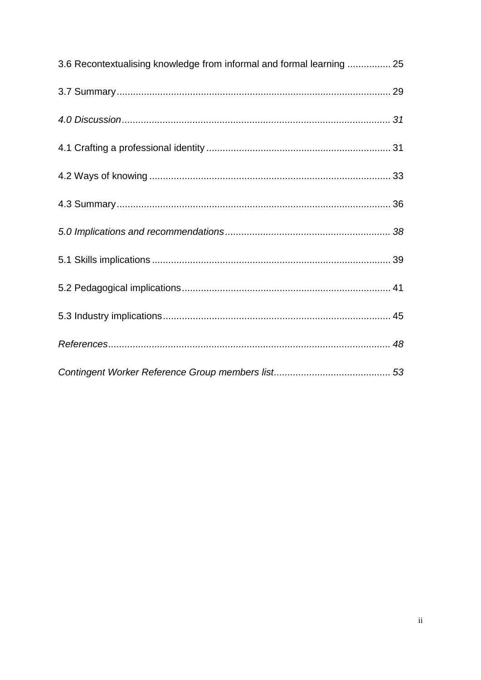| 3.6 Recontextualising knowledge from informal and formal learning  25 |  |
|-----------------------------------------------------------------------|--|
|                                                                       |  |
|                                                                       |  |
|                                                                       |  |
|                                                                       |  |
|                                                                       |  |
|                                                                       |  |
|                                                                       |  |
|                                                                       |  |
|                                                                       |  |
|                                                                       |  |
|                                                                       |  |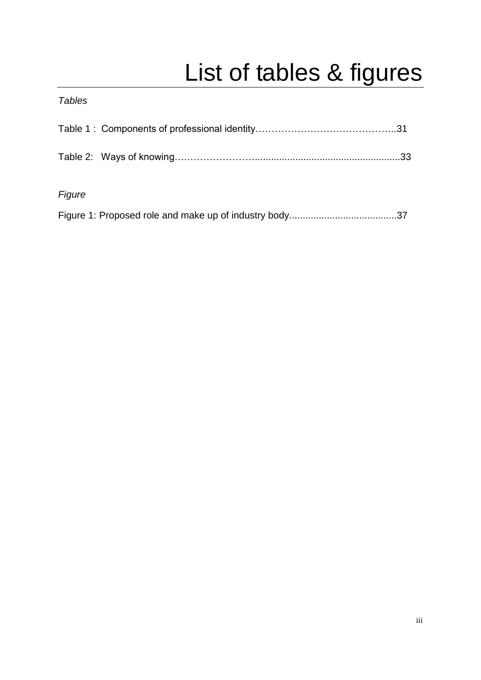# List of tables & figures

#### <span id="page-5-0"></span>*Tables*

| Figure |  |
|--------|--|
|        |  |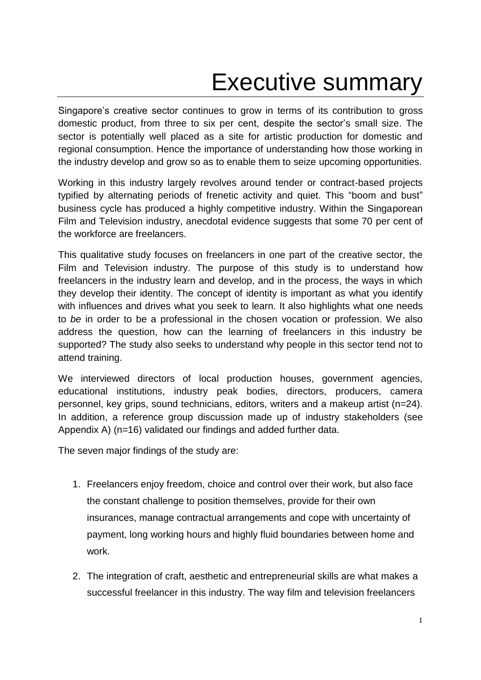## Executive summary

<span id="page-6-0"></span>Singapore's creative sector continues to grow in terms of its contribution to gross domestic product, from three to six per cent, despite the sector's small size. The sector is potentially well placed as a site for artistic production for domestic and regional consumption. Hence the importance of understanding how those working in the industry develop and grow so as to enable them to seize upcoming opportunities.

Working in this industry largely revolves around tender or contract-based projects typified by alternating periods of frenetic activity and quiet. This "boom and bust" business cycle has produced a highly competitive industry. Within the Singaporean Film and Television industry, anecdotal evidence suggests that some 70 per cent of the workforce are freelancers.

This qualitative study focuses on freelancers in one part of the creative sector, the Film and Television industry. The purpose of this study is to understand how freelancers in the industry learn and develop, and in the process, the ways in which they develop their identity. The concept of identity is important as what you identify with influences and drives what you seek to learn. It also highlights what one needs to *be* in order to be a professional in the chosen vocation or profession. We also address the question, how can the learning of freelancers in this industry be supported? The study also seeks to understand why people in this sector tend not to attend training.

We interviewed directors of local production houses, government agencies, educational institutions, industry peak bodies, directors, producers, camera personnel, key grips, sound technicians, editors, writers and a makeup artist (n=24). In addition, a reference group discussion made up of industry stakeholders (see Appendix A) (n=16) validated our findings and added further data.

The seven major findings of the study are:

- 1. Freelancers enjoy freedom, choice and control over their work, but also face the constant challenge to position themselves, provide for their own insurances, manage contractual arrangements and cope with uncertainty of payment, long working hours and highly fluid boundaries between home and work.
- 2. The integration of craft, aesthetic and entrepreneurial skills are what makes a successful freelancer in this industry. The way film and television freelancers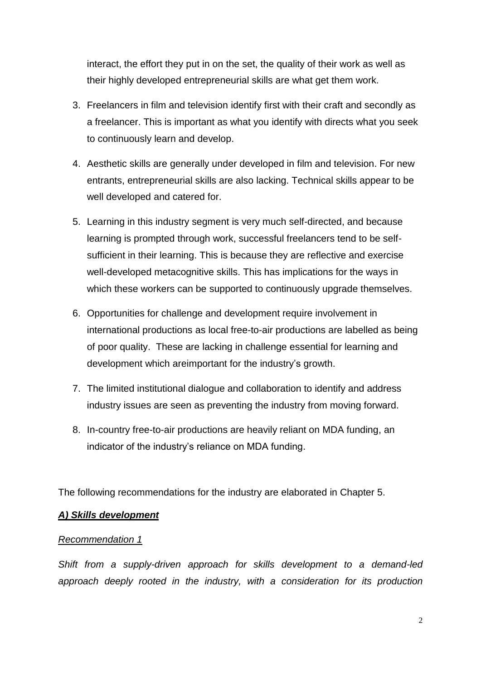interact, the effort they put in on the set, the quality of their work as well as their highly developed entrepreneurial skills are what get them work.

- 3. Freelancers in film and television identify first with their craft and secondly as a freelancer. This is important as what you identify with directs what you seek to continuously learn and develop.
- 4. Aesthetic skills are generally under developed in film and television. For new entrants, entrepreneurial skills are also lacking. Technical skills appear to be well developed and catered for.
- 5. Learning in this industry segment is very much self-directed, and because learning is prompted through work, successful freelancers tend to be selfsufficient in their learning. This is because they are reflective and exercise well-developed metacognitive skills. This has implications for the ways in which these workers can be supported to continuously upgrade themselves.
- 6. Opportunities for challenge and development require involvement in international productions as local free-to-air productions are labelled as being of poor quality. These are lacking in challenge essential for learning and development which areimportant for the industry's growth.
- 7. The limited institutional dialogue and collaboration to identify and address industry issues are seen as preventing the industry from moving forward.
- 8. In-country free-to-air productions are heavily reliant on MDA funding, an indicator of the industry's reliance on MDA funding.

The following recommendations for the industry are elaborated in Chapter 5.

#### *A) Skills development*

#### *Recommendation 1*

*Shift from a supply-driven approach for skills development to a demand-led approach deeply rooted in the industry, with a consideration for its production*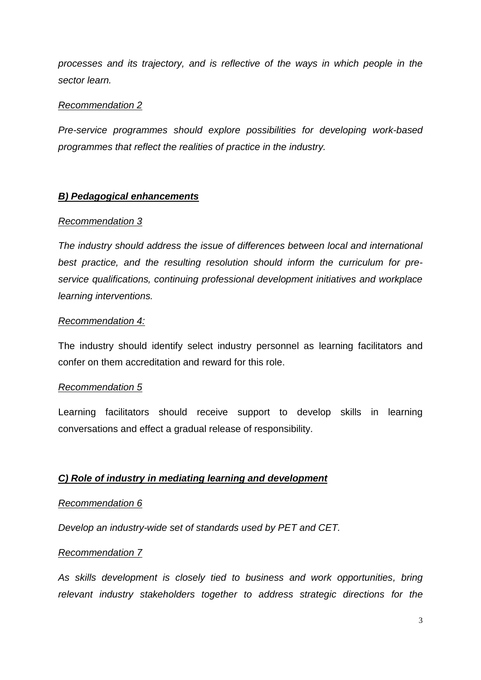*processes and its trajectory, and is reflective of the ways in which people in the sector learn.*

#### *Recommendation 2*

*Pre-service programmes should explore possibilities for developing work-based programmes that reflect the realities of practice in the industry.*

#### *B) Pedagogical enhancements*

#### *Recommendation 3*

*The industry should address the issue of differences between local and international best practice, and the resulting resolution should inform the curriculum for preservice qualifications, continuing professional development initiatives and workplace learning interventions.* 

#### *Recommendation 4:*

The industry should identify select industry personnel as learning facilitators and confer on them accreditation and reward for this role.

#### *Recommendation 5*

Learning facilitators should receive support to develop skills in learning conversations and effect a gradual release of responsibility.

#### *C) Role of industry in mediating learning and development*

#### *Recommendation 6*

*Develop an industry-wide set of standards used by PET and CET.*

#### *Recommendation 7*

*As skills development is closely tied to business and work opportunities, bring relevant industry stakeholders together to address strategic directions for the*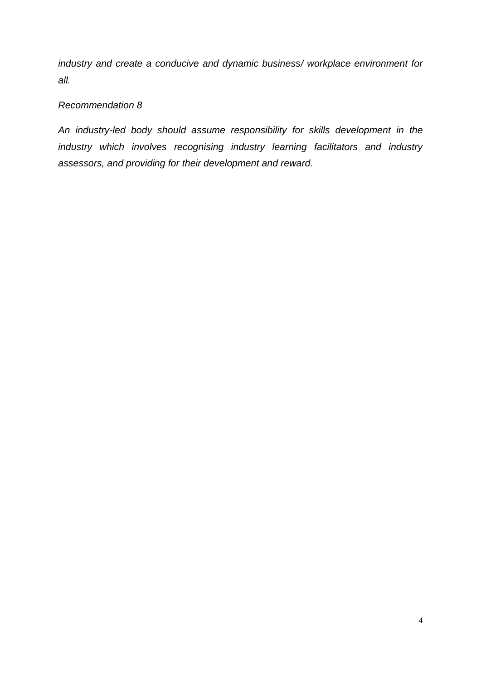*industry and create a conducive and dynamic business/ workplace environment for all.*

#### *Recommendation 8*

*An industry-led body should assume responsibility for skills development in the industry which involves recognising industry learning facilitators and industry assessors, and providing for their development and reward.*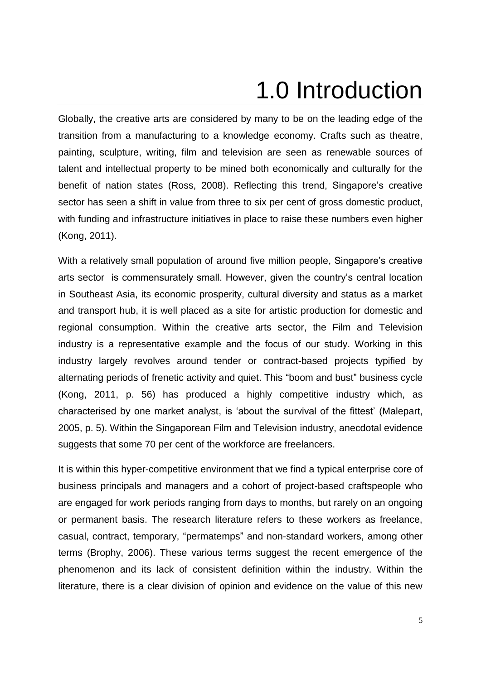# 1.0 Introduction

<span id="page-10-0"></span>Globally, the creative arts are considered by many to be on the leading edge of the transition from a manufacturing to a knowledge economy. Crafts such as theatre, painting, sculpture, writing, film and television are seen as renewable sources of talent and intellectual property to be mined both economically and culturally for the benefit of nation states (Ross, 2008). Reflecting this trend, Singapore's creative sector has seen a shift in value from three to six per cent of gross domestic product, with funding and infrastructure initiatives in place to raise these numbers even higher (Kong, 2011).

With a relatively small population of around five million people, Singapore's creative arts sector is commensurately small. However, given the country's central location in Southeast Asia, its economic prosperity, cultural diversity and status as a market and transport hub, it is well placed as a site for artistic production for domestic and regional consumption. Within the creative arts sector, the Film and Television industry is a representative example and the focus of our study. Working in this industry largely revolves around tender or contract-based projects typified by alternating periods of frenetic activity and quiet. This "boom and bust" business cycle (Kong, 2011, p. 56) has produced a highly competitive industry which, as characterised by one market analyst, is 'about the survival of the fittest' (Malepart, 2005, p. 5). Within the Singaporean Film and Television industry, anecdotal evidence suggests that some 70 per cent of the workforce are freelancers.

It is within this hyper-competitive environment that we find a typical enterprise core of business principals and managers and a cohort of project-based craftspeople who are engaged for work periods ranging from days to months, but rarely on an ongoing or permanent basis. The research literature refers to these workers as freelance, casual, contract, temporary, "permatemps" and non-standard workers, among other terms (Brophy, 2006). These various terms suggest the recent emergence of the phenomenon and its lack of consistent definition within the industry. Within the literature, there is a clear division of opinion and evidence on the value of this new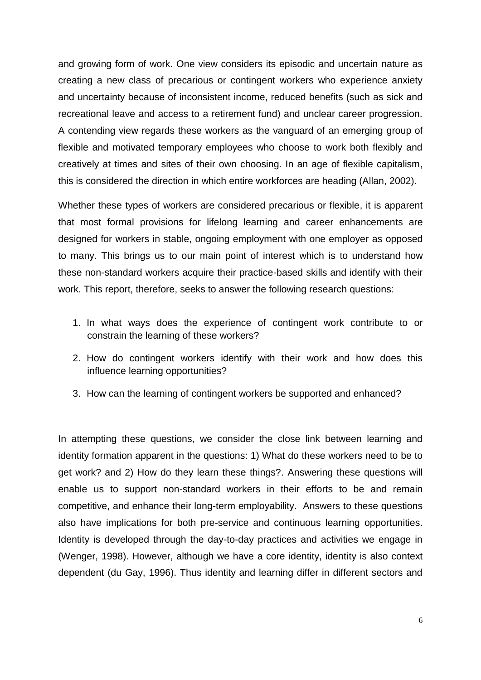and growing form of work. One view considers its episodic and uncertain nature as creating a new class of precarious or contingent workers who experience anxiety and uncertainty because of inconsistent income, reduced benefits (such as sick and recreational leave and access to a retirement fund) and unclear career progression. A contending view regards these workers as the vanguard of an emerging group of flexible and motivated temporary employees who choose to work both flexibly and creatively at times and sites of their own choosing. In an age of flexible capitalism, this is considered the direction in which entire workforces are heading (Allan, 2002).

Whether these types of workers are considered precarious or flexible, it is apparent that most formal provisions for lifelong learning and career enhancements are designed for workers in stable, ongoing employment with one employer as opposed to many. This brings us to our main point of interest which is to understand how these non-standard workers acquire their practice-based skills and identify with their work. This report, therefore, seeks to answer the following research questions:

- 1. In what ways does the experience of contingent work contribute to or constrain the learning of these workers?
- 2. How do contingent workers identify with their work and how does this influence learning opportunities?
- 3. How can the learning of contingent workers be supported and enhanced?

In attempting these questions, we consider the close link between learning and identity formation apparent in the questions: 1) What do these workers need to be to get work? and 2) How do they learn these things?. Answering these questions will enable us to support non-standard workers in their efforts to be and remain competitive, and enhance their long-term employability. Answers to these questions also have implications for both pre-service and continuous learning opportunities. Identity is developed through the day-to-day practices and activities we engage in (Wenger, 1998). However, although we have a core identity, identity is also context dependent (du Gay, 1996). Thus identity and learning differ in different sectors and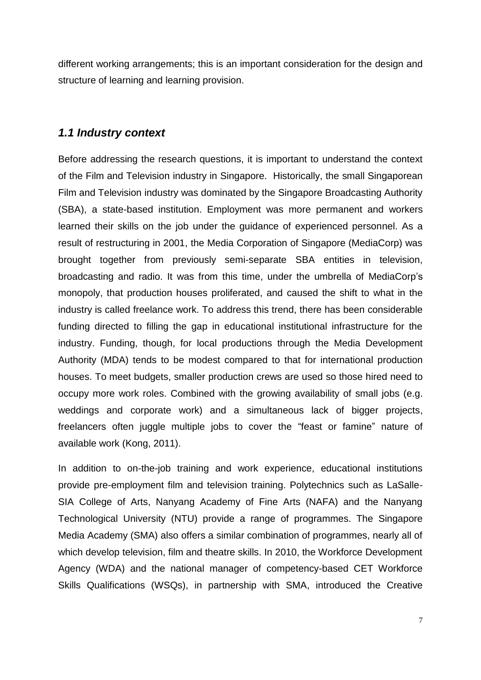different working arrangements; this is an important consideration for the design and structure of learning and learning provision.

#### <span id="page-12-0"></span>*1.1 Industry context*

Before addressing the research questions, it is important to understand the context of the Film and Television industry in Singapore. Historically, the small Singaporean Film and Television industry was dominated by the Singapore Broadcasting Authority (SBA), a state-based institution. Employment was more permanent and workers learned their skills on the job under the guidance of experienced personnel. As a result of restructuring in 2001, the Media Corporation of Singapore (MediaCorp) was brought together from previously semi-separate SBA entities in television, broadcasting and radio. It was from this time, under the umbrella of MediaCorp's monopoly, that production houses proliferated, and caused the shift to what in the industry is called freelance work. To address this trend, there has been considerable funding directed to filling the gap in educational institutional infrastructure for the industry. Funding, though, for local productions through the Media Development Authority (MDA) tends to be modest compared to that for international production houses. To meet budgets, smaller production crews are used so those hired need to occupy more work roles. Combined with the growing availability of small jobs (e.g. weddings and corporate work) and a simultaneous lack of bigger projects, freelancers often juggle multiple jobs to cover the "feast or famine" nature of available work (Kong, 2011).

In addition to on-the-job training and work experience, educational institutions provide pre-employment film and television training. Polytechnics such as LaSalle-SIA College of Arts, Nanyang Academy of Fine Arts (NAFA) and the Nanyang Technological University (NTU) provide a range of programmes. The Singapore Media Academy (SMA) also offers a similar combination of programmes, nearly all of which develop television, film and theatre skills. In 2010, the Workforce Development Agency (WDA) and the national manager of competency-based CET Workforce Skills Qualifications (WSQs), in partnership with SMA, introduced the Creative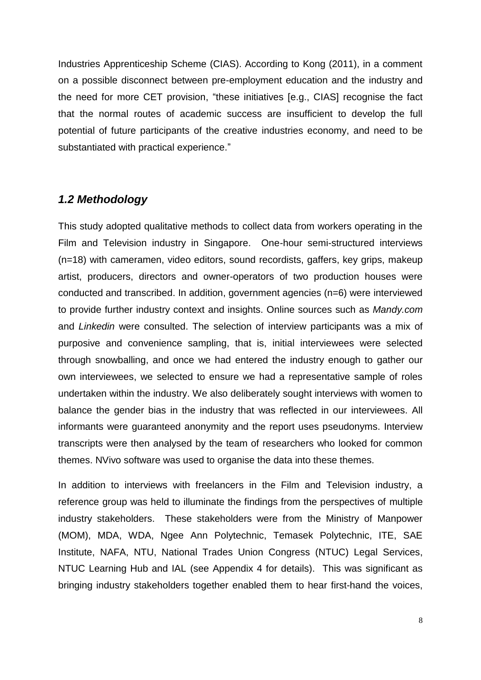Industries Apprenticeship Scheme (CIAS). According to Kong (2011), in a comment on a possible disconnect between pre-employment education and the industry and the need for more CET provision, "these initiatives [e.g., CIAS] recognise the fact that the normal routes of academic success are insufficient to develop the full potential of future participants of the creative industries economy, and need to be substantiated with practical experience."

#### <span id="page-13-0"></span>*1.2 Methodology*

This study adopted qualitative methods to collect data from workers operating in the Film and Television industry in Singapore. One-hour semi-structured interviews (n=18) with cameramen, video editors, sound recordists, gaffers, key grips, makeup artist, producers, directors and owner-operators of two production houses were conducted and transcribed. In addition, government agencies (n=6) were interviewed to provide further industry context and insights. Online sources such as *Mandy.com* and *Linkedin* were consulted. The selection of interview participants was a mix of purposive and convenience sampling, that is, initial interviewees were selected through snowballing, and once we had entered the industry enough to gather our own interviewees, we selected to ensure we had a representative sample of roles undertaken within the industry. We also deliberately sought interviews with women to balance the gender bias in the industry that was reflected in our interviewees. All informants were guaranteed anonymity and the report uses pseudonyms. Interview transcripts were then analysed by the team of researchers who looked for common themes. NVivo software was used to organise the data into these themes.

In addition to interviews with freelancers in the Film and Television industry, a reference group was held to illuminate the findings from the perspectives of multiple industry stakeholders. These stakeholders were from the Ministry of Manpower (MOM), MDA, WDA, Ngee Ann Polytechnic, Temasek Polytechnic, ITE, SAE Institute, NAFA, NTU, National Trades Union Congress (NTUC) Legal Services, NTUC Learning Hub and IAL (see Appendix 4 for details). This was significant as bringing industry stakeholders together enabled them to hear first-hand the voices,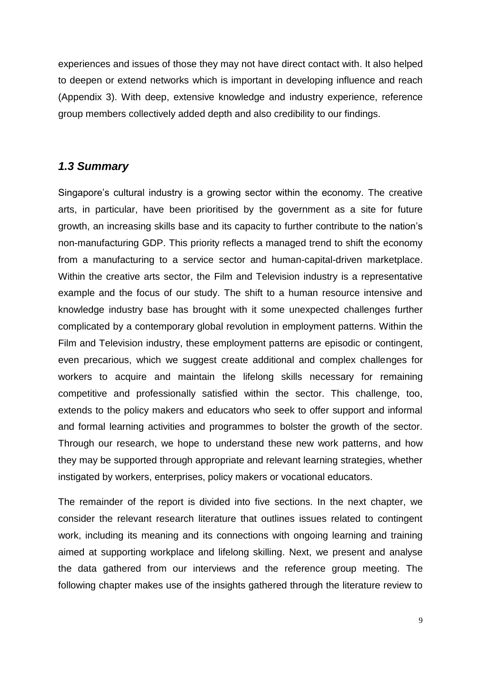experiences and issues of those they may not have direct contact with. It also helped to deepen or extend networks which is important in developing influence and reach (Appendix 3). With deep, extensive knowledge and industry experience, reference group members collectively added depth and also credibility to our findings.

#### <span id="page-14-0"></span>*1.3 Summary*

Singapore's cultural industry is a growing sector within the economy. The creative arts, in particular, have been prioritised by the government as a site for future growth, an increasing skills base and its capacity to further contribute to the nation's non-manufacturing GDP. This priority reflects a managed trend to shift the economy from a manufacturing to a service sector and human-capital-driven marketplace. Within the creative arts sector, the Film and Television industry is a representative example and the focus of our study. The shift to a human resource intensive and knowledge industry base has brought with it some unexpected challenges further complicated by a contemporary global revolution in employment patterns. Within the Film and Television industry, these employment patterns are episodic or contingent, even precarious, which we suggest create additional and complex challenges for workers to acquire and maintain the lifelong skills necessary for remaining competitive and professionally satisfied within the sector. This challenge, too, extends to the policy makers and educators who seek to offer support and informal and formal learning activities and programmes to bolster the growth of the sector. Through our research, we hope to understand these new work patterns, and how they may be supported through appropriate and relevant learning strategies, whether instigated by workers, enterprises, policy makers or vocational educators.

The remainder of the report is divided into five sections. In the next chapter, we consider the relevant research literature that outlines issues related to contingent work, including its meaning and its connections with ongoing learning and training aimed at supporting workplace and lifelong skilling. Next, we present and analyse the data gathered from our interviews and the reference group meeting. The following chapter makes use of the insights gathered through the literature review to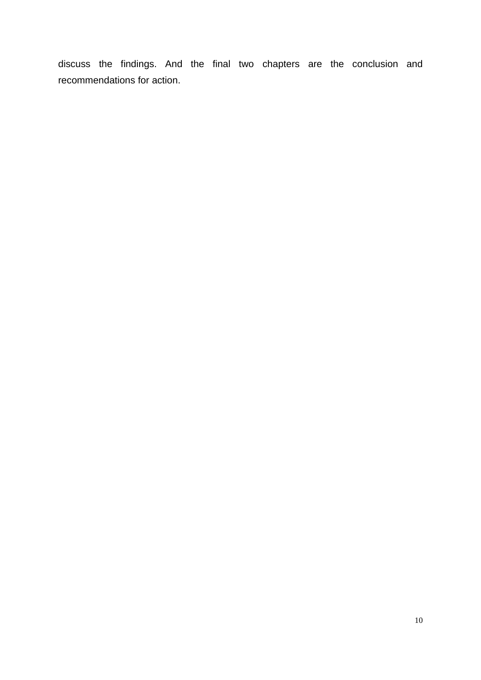discuss the findings. And the final two chapters are the conclusion and recommendations for action.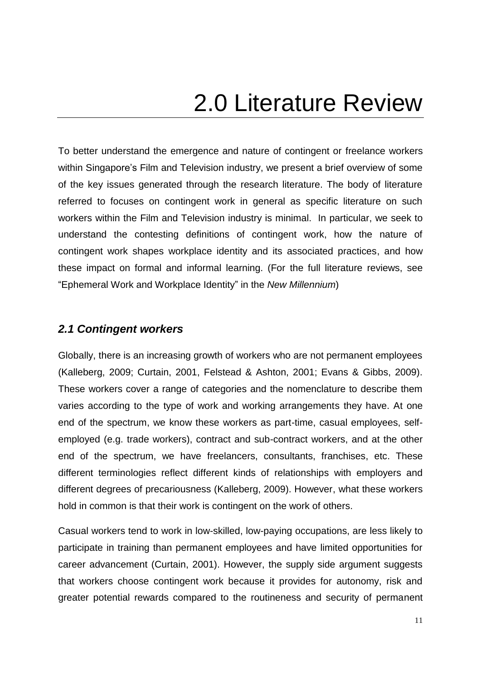## 2.0 Literature Review

<span id="page-16-0"></span>To better understand the emergence and nature of contingent or freelance workers within Singapore's Film and Television industry, we present a brief overview of some of the key issues generated through the research literature. The body of literature referred to focuses on contingent work in general as specific literature on such workers within the Film and Television industry is minimal. In particular, we seek to understand the contesting definitions of contingent work, how the nature of contingent work shapes workplace identity and its associated practices, and how these impact on formal and informal learning. (For the full literature reviews, see "Ephemeral Work and Workplace Identity" in the *New Millennium*)

#### <span id="page-16-1"></span>*2.1 Contingent workers*

Globally, there is an increasing growth of workers who are not permanent employees (Kalleberg, 2009; Curtain, 2001, Felstead & Ashton, 2001; Evans & Gibbs, 2009). These workers cover a range of categories and the nomenclature to describe them varies according to the type of work and working arrangements they have. At one end of the spectrum, we know these workers as part-time, casual employees, selfemployed (e.g. trade workers), contract and sub-contract workers, and at the other end of the spectrum, we have freelancers, consultants, franchises, etc. These different terminologies reflect different kinds of relationships with employers and different degrees of precariousness (Kalleberg, 2009). However, what these workers hold in common is that their work is contingent on the work of others.

Casual workers tend to work in low-skilled, low-paying occupations, are less likely to participate in training than permanent employees and have limited opportunities for career advancement (Curtain, 2001). However, the supply side argument suggests that workers choose contingent work because it provides for autonomy, risk and greater potential rewards compared to the routineness and security of permanent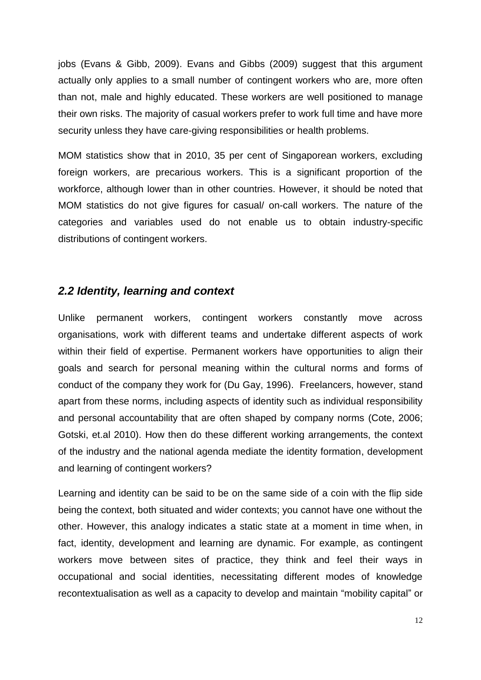jobs (Evans & Gibb, 2009). Evans and Gibbs (2009) suggest that this argument actually only applies to a small number of contingent workers who are, more often than not, male and highly educated. These workers are well positioned to manage their own risks. The majority of casual workers prefer to work full time and have more security unless they have care-giving responsibilities or health problems.

MOM statistics show that in 2010, 35 per cent of Singaporean workers, excluding foreign workers, are precarious workers. This is a significant proportion of the workforce, although lower than in other countries. However, it should be noted that MOM statistics do not give figures for casual/ on-call workers. The nature of the categories and variables used do not enable us to obtain industry-specific distributions of contingent workers.

#### <span id="page-17-0"></span>*2.2 Identity, learning and context*

Unlike permanent workers, contingent workers constantly move across organisations, work with different teams and undertake different aspects of work within their field of expertise. Permanent workers have opportunities to align their goals and search for personal meaning within the cultural norms and forms of conduct of the company they work for (Du Gay, 1996). Freelancers, however, stand apart from these norms, including aspects of identity such as individual responsibility and personal accountability that are often shaped by company norms (Cote, 2006; Gotski, et.al 2010). How then do these different working arrangements, the context of the industry and the national agenda mediate the identity formation, development and learning of contingent workers?

Learning and identity can be said to be on the same side of a coin with the flip side being the context, both situated and wider contexts; you cannot have one without the other. However, this analogy indicates a static state at a moment in time when, in fact, identity, development and learning are dynamic. For example, as contingent workers move between sites of practice, they think and feel their ways in occupational and social identities, necessitating different modes of knowledge recontextualisation as well as a capacity to develop and maintain "mobility capital" or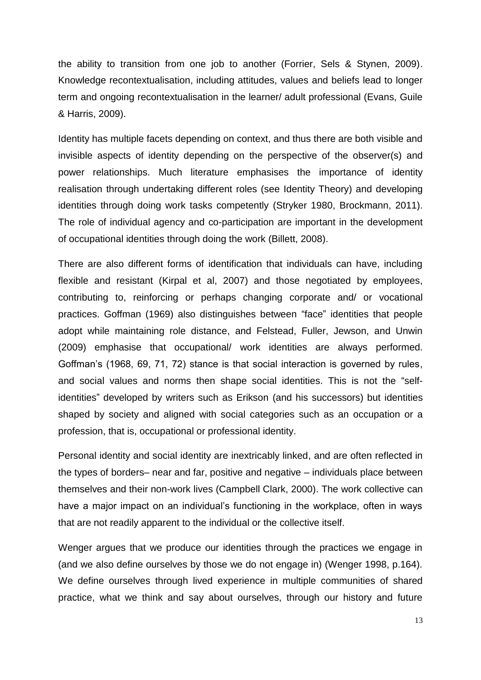the ability to transition from one job to another (Forrier, Sels & Stynen, 2009). Knowledge recontextualisation, including attitudes, values and beliefs lead to longer term and ongoing recontextualisation in the learner/ adult professional (Evans, Guile & Harris, 2009).

Identity has multiple facets depending on context, and thus there are both visible and invisible aspects of identity depending on the perspective of the observer(s) and power relationships. Much literature emphasises the importance of identity realisation through undertaking different roles (see Identity Theory) and developing identities through doing work tasks competently (Stryker 1980, Brockmann, 2011). The role of individual agency and co-participation are important in the development of occupational identities through doing the work (Billett, 2008).

There are also different forms of identification that individuals can have, including flexible and resistant (Kirpal et al, 2007) and those negotiated by employees, contributing to, reinforcing or perhaps changing corporate and/ or vocational practices. Goffman (1969) also distinguishes between "face" identities that people adopt while maintaining role distance, and Felstead, Fuller, Jewson, and Unwin (2009) emphasise that occupational/ work identities are always performed. Goffman's (1968, 69, 71, 72) stance is that social interaction is governed by rules, and social values and norms then shape social identities. This is not the "selfidentities" developed by writers such as Erikson (and his successors) but identities shaped by society and aligned with social categories such as an occupation or a profession, that is, occupational or professional identity.

Personal identity and social identity are inextricably linked, and are often reflected in the types of borders– near and far, positive and negative – individuals place between themselves and their non-work lives (Campbell Clark, 2000). The work collective can have a major impact on an individual's functioning in the workplace, often in ways that are not readily apparent to the individual or the collective itself.

Wenger argues that we produce our identities through the practices we engage in (and we also define ourselves by those we do not engage in) (Wenger 1998, p.164). We define ourselves through lived experience in multiple communities of shared practice, what we think and say about ourselves, through our history and future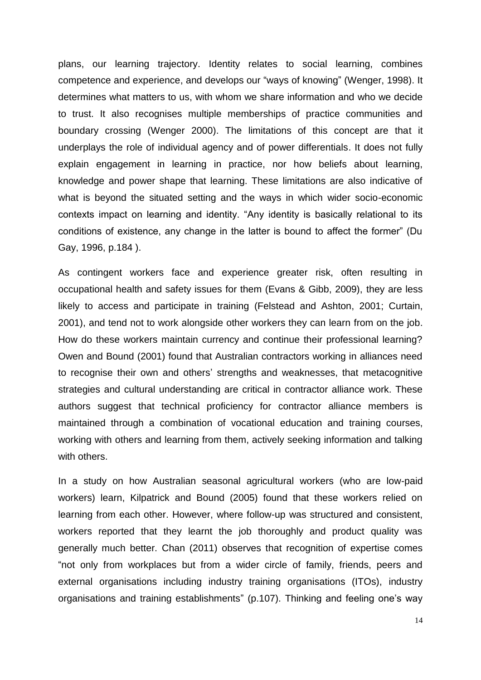plans, our learning trajectory. Identity relates to social learning, combines competence and experience, and develops our "ways of knowing" (Wenger, 1998). It determines what matters to us, with whom we share information and who we decide to trust. It also recognises multiple memberships of practice communities and boundary crossing (Wenger 2000). The limitations of this concept are that it underplays the role of individual agency and of power differentials. It does not fully explain engagement in learning in practice, nor how beliefs about learning, knowledge and power shape that learning. These limitations are also indicative of what is beyond the situated setting and the ways in which wider socio-economic contexts impact on learning and identity. "Any identity is basically relational to its conditions of existence, any change in the latter is bound to affect the former" (Du Gay, 1996, p.184 ).

As contingent workers face and experience greater risk, often resulting in occupational health and safety issues for them (Evans & Gibb, 2009), they are less likely to access and participate in training (Felstead and Ashton, 2001; Curtain, 2001), and tend not to work alongside other workers they can learn from on the job. How do these workers maintain currency and continue their professional learning? Owen and Bound (2001) found that Australian contractors working in alliances need to recognise their own and others' strengths and weaknesses, that metacognitive strategies and cultural understanding are critical in contractor alliance work. These authors suggest that technical proficiency for contractor alliance members is maintained through a combination of vocational education and training courses, working with others and learning from them, actively seeking information and talking with others.

In a study on how Australian seasonal agricultural workers (who are low-paid workers) learn, Kilpatrick and Bound (2005) found that these workers relied on learning from each other. However, where follow-up was structured and consistent, workers reported that they learnt the job thoroughly and product quality was generally much better. Chan (2011) observes that recognition of expertise comes "not only from workplaces but from a wider circle of family, friends, peers and external organisations including industry training organisations (ITOs), industry organisations and training establishments" (p.107). Thinking and feeling one's way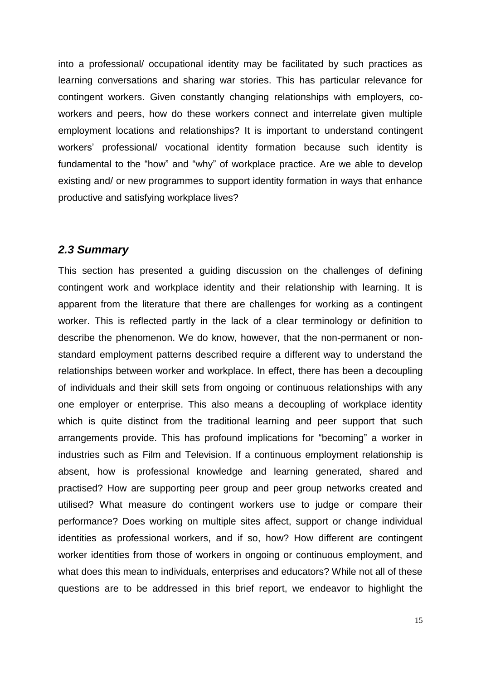into a professional/ occupational identity may be facilitated by such practices as learning conversations and sharing war stories. This has particular relevance for contingent workers. Given constantly changing relationships with employers, coworkers and peers, how do these workers connect and interrelate given multiple employment locations and relationships? It is important to understand contingent workers' professional/ vocational identity formation because such identity is fundamental to the "how" and "why" of workplace practice. Are we able to develop existing and/ or new programmes to support identity formation in ways that enhance productive and satisfying workplace lives?

#### <span id="page-20-0"></span>*2.3 Summary*

This section has presented a guiding discussion on the challenges of defining contingent work and workplace identity and their relationship with learning. It is apparent from the literature that there are challenges for working as a contingent worker. This is reflected partly in the lack of a clear terminology or definition to describe the phenomenon. We do know, however, that the non-permanent or nonstandard employment patterns described require a different way to understand the relationships between worker and workplace. In effect, there has been a decoupling of individuals and their skill sets from ongoing or continuous relationships with any one employer or enterprise. This also means a decoupling of workplace identity which is quite distinct from the traditional learning and peer support that such arrangements provide. This has profound implications for "becoming" a worker in industries such as Film and Television. If a continuous employment relationship is absent, how is professional knowledge and learning generated, shared and practised? How are supporting peer group and peer group networks created and utilised? What measure do contingent workers use to judge or compare their performance? Does working on multiple sites affect, support or change individual identities as professional workers, and if so, how? How different are contingent worker identities from those of workers in ongoing or continuous employment, and what does this mean to individuals, enterprises and educators? While not all of these questions are to be addressed in this brief report, we endeavor to highlight the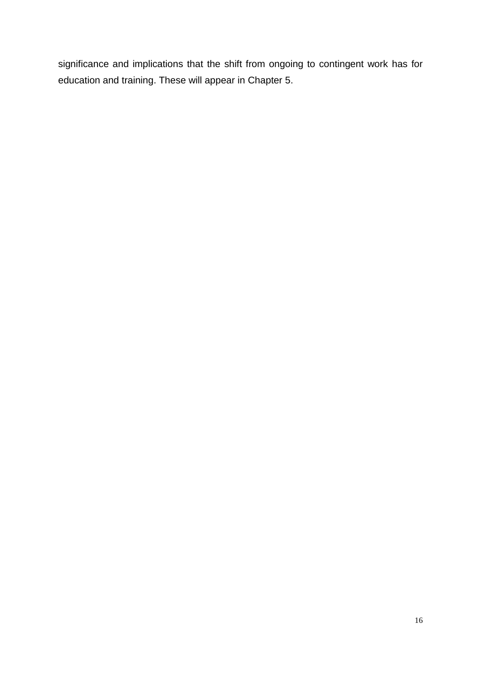significance and implications that the shift from ongoing to contingent work has for education and training. These will appear in Chapter 5.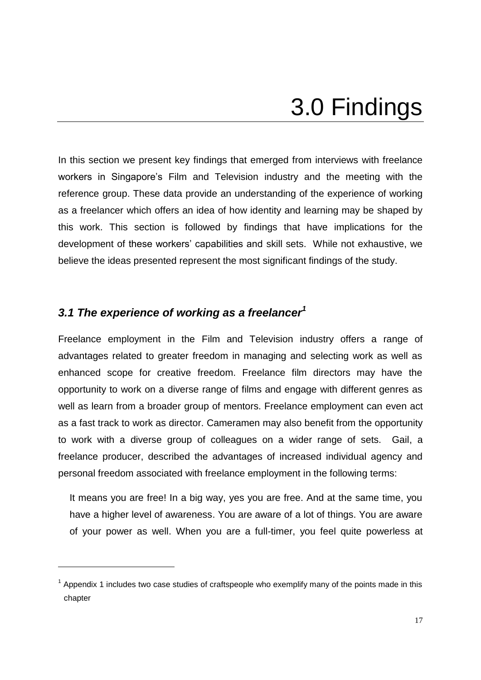### 3.0 Findings

<span id="page-22-0"></span>In this section we present key findings that emerged from interviews with freelance workers in Singapore's Film and Television industry and the meeting with the reference group. These data provide an understanding of the experience of working as a freelancer which offers an idea of how identity and learning may be shaped by this work. This section is followed by findings that have implications for the development of these workers' capabilities and skill sets. While not exhaustive, we believe the ideas presented represent the most significant findings of the study.

#### <span id="page-22-1"></span>*3.1 The experience of working as a freelancer<sup>1</sup>*

1

Freelance employment in the Film and Television industry offers a range of advantages related to greater freedom in managing and selecting work as well as enhanced scope for creative freedom. Freelance film directors may have the opportunity to work on a diverse range of films and engage with different genres as well as learn from a broader group of mentors. Freelance employment can even act as a fast track to work as director. Cameramen may also benefit from the opportunity to work with a diverse group of colleagues on a wider range of sets. Gail, a freelance producer, described the advantages of increased individual agency and personal freedom associated with freelance employment in the following terms:

It means you are free! In a big way, yes you are free. And at the same time, you have a higher level of awareness. You are aware of a lot of things. You are aware of your power as well. When you are a full-timer, you feel quite powerless at

 $1$  Appendix 1 includes two case studies of craftspeople who exemplify many of the points made in this chapter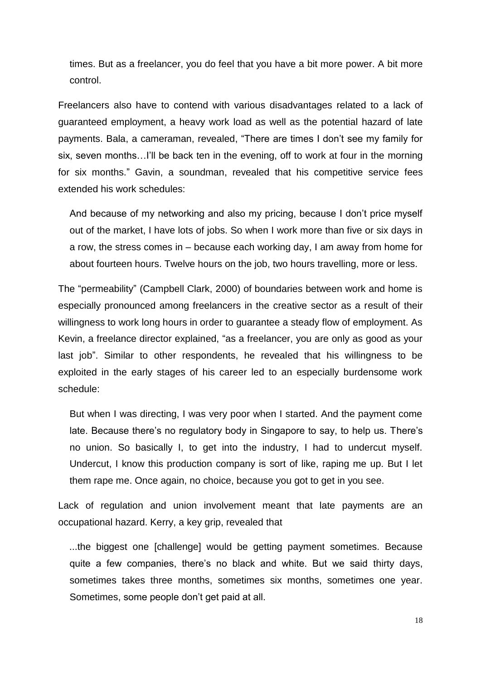times. But as a freelancer, you do feel that you have a bit more power. A bit more control.

Freelancers also have to contend with various disadvantages related to a lack of guaranteed employment, a heavy work load as well as the potential hazard of late payments. Bala, a cameraman, revealed, "There are times I don't see my family for six, seven months...I'll be back ten in the evening, off to work at four in the morning for six months." Gavin, a soundman, revealed that his competitive service fees extended his work schedules:

And because of my networking and also my pricing, because I don't price myself out of the market, I have lots of jobs. So when I work more than five or six days in a row, the stress comes in – because each working day, I am away from home for about fourteen hours. Twelve hours on the job, two hours travelling, more or less.

The "permeability" (Campbell Clark, 2000) of boundaries between work and home is especially pronounced among freelancers in the creative sector as a result of their willingness to work long hours in order to guarantee a steady flow of employment. As Kevin, a freelance director explained, "as a freelancer, you are only as good as your last job". Similar to other respondents, he revealed that his willingness to be exploited in the early stages of his career led to an especially burdensome work schedule:

But when I was directing, I was very poor when I started. And the payment come late. Because there's no regulatory body in Singapore to say, to help us. There's no union. So basically I, to get into the industry, I had to undercut myself. Undercut, I know this production company is sort of like, raping me up. But I let them rape me. Once again, no choice, because you got to get in you see.

Lack of regulation and union involvement meant that late payments are an occupational hazard. Kerry, a key grip, revealed that

 ...the biggest one [challenge] would be getting payment sometimes. Because quite a few companies, there's no black and white. But we said thirty days, sometimes takes three months, sometimes six months, sometimes one year. Sometimes, some people don't get paid at all.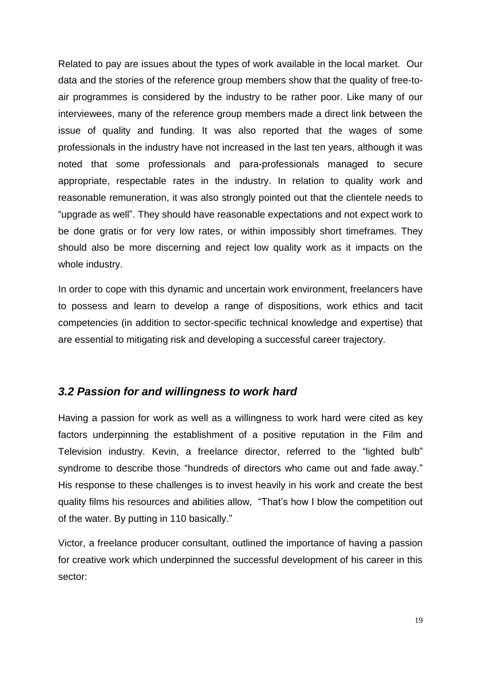Related to pay are issues about the types of work available in the local market. Our data and the stories of the reference group members show that the quality of free-toair programmes is considered by the industry to be rather poor. Like many of our interviewees, many of the reference group members made a direct link between the issue of quality and funding. It was also reported that the wages of some professionals in the industry have not increased in the last ten years, although it was noted that some professionals and para-professionals managed to secure appropriate, respectable rates in the industry. In relation to quality work and reasonable remuneration, it was also strongly pointed out that the clientele needs to "upgrade as well". They should have reasonable expectations and not expect work to be done gratis or for very low rates, or within impossibly short timeframes. They should also be more discerning and reject low quality work as it impacts on the whole industry.

In order to cope with this dynamic and uncertain work environment, freelancers have to possess and learn to develop a range of dispositions, work ethics and tacit competencies (in addition to sector-specific technical knowledge and expertise) that are essential to mitigating risk and developing a successful career trajectory.

#### <span id="page-24-0"></span>*3.2 Passion for and willingness to work hard*

Having a passion for work as well as a willingness to work hard were cited as key factors underpinning the establishment of a positive reputation in the Film and Television industry. Kevin, a freelance director, referred to the "lighted bulb" syndrome to describe those "hundreds of directors who came out and fade away." His response to these challenges is to invest heavily in his work and create the best quality films his resources and abilities allow, "That's how I blow the competition out of the water. By putting in 110 basically."

Victor, a freelance producer consultant, outlined the importance of having a passion for creative work which underpinned the successful development of his career in this sector: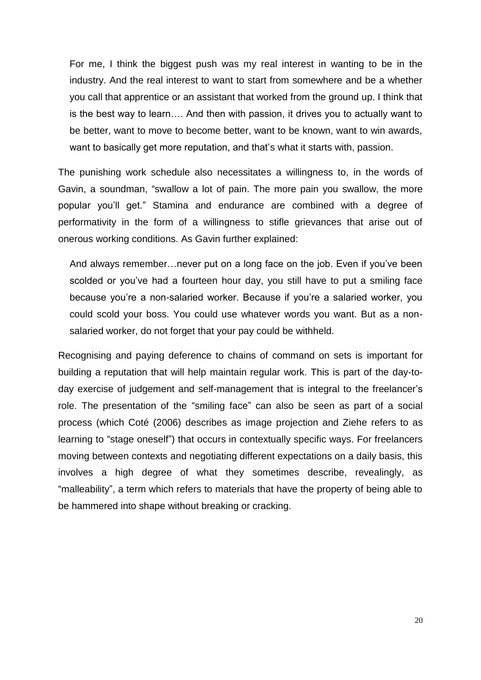For me, I think the biggest push was my real interest in wanting to be in the industry. And the real interest to want to start from somewhere and be a whether you call that apprentice or an assistant that worked from the ground up. I think that is the best way to learn…. And then with passion, it drives you to actually want to be better, want to move to become better, want to be known, want to win awards, want to basically get more reputation, and that's what it starts with, passion.

The punishing work schedule also necessitates a willingness to, in the words of Gavin, a soundman, "swallow a lot of pain. The more pain you swallow, the more popular you'll get." Stamina and endurance are combined with a degree of performativity in the form of a willingness to stifle grievances that arise out of onerous working conditions. As Gavin further explained:

And always remember…never put on a long face on the job. Even if you've been scolded or you've had a fourteen hour day, you still have to put a smiling face because you're a non-salaried worker. Because if you're a salaried worker, you could scold your boss. You could use whatever words you want. But as a nonsalaried worker, do not forget that your pay could be withheld.

Recognising and paying deference to chains of command on sets is important for building a reputation that will help maintain regular work. This is part of the day-today exercise of judgement and self-management that is integral to the freelancer's role. The presentation of the "smiling face" can also be seen as part of a social process (which Coté (2006) describes as image projection and Ziehe refers to as learning to "stage oneself") that occurs in contextually specific ways. For freelancers moving between contexts and negotiating different expectations on a daily basis, this involves a high degree of what they sometimes describe, revealingly, as "malleability", a term which refers to materials that have the property of being able to be hammered into shape without breaking or cracking.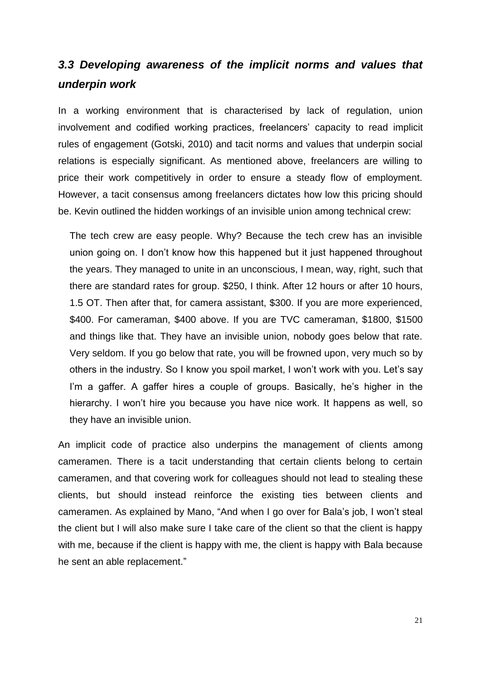### <span id="page-26-0"></span>*3.3 Developing awareness of the implicit norms and values that underpin work*

In a working environment that is characterised by lack of regulation, union involvement and codified working practices, freelancers' capacity to read implicit rules of engagement (Gotski, 2010) and tacit norms and values that underpin social relations is especially significant. As mentioned above, freelancers are willing to price their work competitively in order to ensure a steady flow of employment. However, a tacit consensus among freelancers dictates how low this pricing should be. Kevin outlined the hidden workings of an invisible union among technical crew:

The tech crew are easy people. Why? Because the tech crew has an invisible union going on. I don't know how this happened but it just happened throughout the years. They managed to unite in an unconscious, I mean, way, right, such that there are standard rates for group. \$250, I think. After 12 hours or after 10 hours, 1.5 OT. Then after that, for camera assistant, \$300. If you are more experienced, \$400. For cameraman, \$400 above. If you are TVC cameraman, \$1800, \$1500 and things like that. They have an invisible union, nobody goes below that rate. Very seldom. If you go below that rate, you will be frowned upon, very much so by others in the industry. So I know you spoil market, I won't work with you. Let's say I'm a gaffer. A gaffer hires a couple of groups. Basically, he's higher in the hierarchy. I won't hire you because you have nice work. It happens as well, so they have an invisible union.

An implicit code of practice also underpins the management of clients among cameramen. There is a tacit understanding that certain clients belong to certain cameramen, and that covering work for colleagues should not lead to stealing these clients, but should instead reinforce the existing ties between clients and cameramen. As explained by Mano, "And when I go over for Bala's job, I won't steal the client but I will also make sure I take care of the client so that the client is happy with me, because if the client is happy with me, the client is happy with Bala because he sent an able replacement."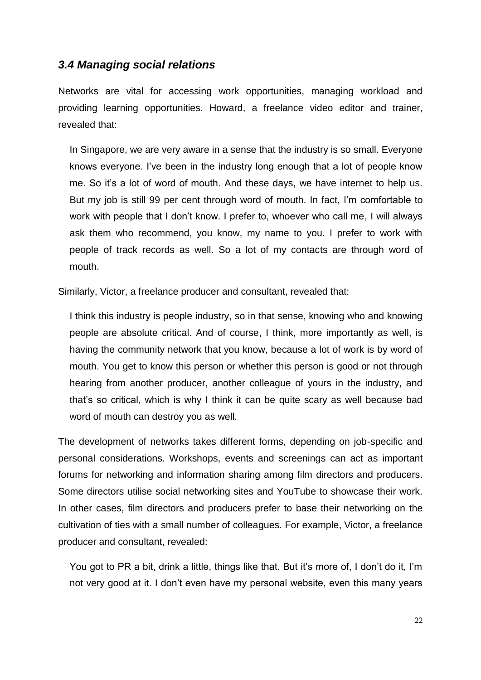#### <span id="page-27-0"></span>*3.4 Managing social relations*

Networks are vital for accessing work opportunities, managing workload and providing learning opportunities. Howard, a freelance video editor and trainer, revealed that:

In Singapore, we are very aware in a sense that the industry is so small. Everyone knows everyone. I've been in the industry long enough that a lot of people know me. So it's a lot of word of mouth. And these days, we have internet to help us. But my job is still 99 per cent through word of mouth. In fact, I'm comfortable to work with people that I don't know. I prefer to, whoever who call me, I will always ask them who recommend, you know, my name to you. I prefer to work with people of track records as well. So a lot of my contacts are through word of mouth.

Similarly, Victor, a freelance producer and consultant, revealed that:

I think this industry is people industry, so in that sense, knowing who and knowing people are absolute critical. And of course, I think, more importantly as well, is having the community network that you know, because a lot of work is by word of mouth. You get to know this person or whether this person is good or not through hearing from another producer, another colleague of yours in the industry, and that's so critical, which is why I think it can be quite scary as well because bad word of mouth can destroy you as well.

The development of networks takes different forms, depending on job-specific and personal considerations. Workshops, events and screenings can act as important forums for networking and information sharing among film directors and producers. Some directors utilise social networking sites and YouTube to showcase their work. In other cases, film directors and producers prefer to base their networking on the cultivation of ties with a small number of colleagues. For example, Victor, a freelance producer and consultant, revealed:

You got to PR a bit, drink a little, things like that. But it's more of, I don't do it, I'm not very good at it. I don't even have my personal website, even this many years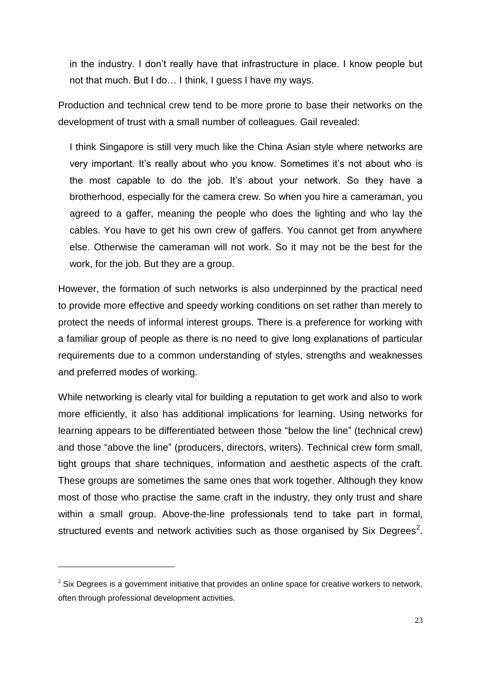in the industry. I don't really have that infrastructure in place. I know people but not that much. But I do… I think, I guess I have my ways.

Production and technical crew tend to be more prone to base their networks on the development of trust with a small number of colleagues. Gail revealed:

I think Singapore is still very much like the China Asian style where networks are very important. It's really about who you know. Sometimes it's not about who is the most capable to do the job. It's about your network. So they have a brotherhood, especially for the camera crew. So when you hire a cameraman, you agreed to a gaffer, meaning the people who does the lighting and who lay the cables. You have to get his own crew of gaffers. You cannot get from anywhere else. Otherwise the cameraman will not work. So it may not be the best for the work, for the job. But they are a group.

However, the formation of such networks is also underpinned by the practical need to provide more effective and speedy working conditions on set rather than merely to protect the needs of informal interest groups. There is a preference for working with a familiar group of people as there is no need to give long explanations of particular requirements due to a common understanding of styles, strengths and weaknesses and preferred modes of working.

While networking is clearly vital for building a reputation to get work and also to work more efficiently, it also has additional implications for learning. Using networks for learning appears to be differentiated between those "below the line" (technical crew) and those "above the line" (producers, directors, writers). Technical crew form small, tight groups that share techniques, information and aesthetic aspects of the craft. These groups are sometimes the same ones that work together. Although they know most of those who practise the same craft in the industry, they only trust and share within a small group. Above-the-line professionals tend to take part in formal, structured events and network activities such as those organised by Six Degrees<sup>2</sup>.

1

 $2$  Six Degrees is a government initiative that provides an online space for creative workers to network, often through professional development activities.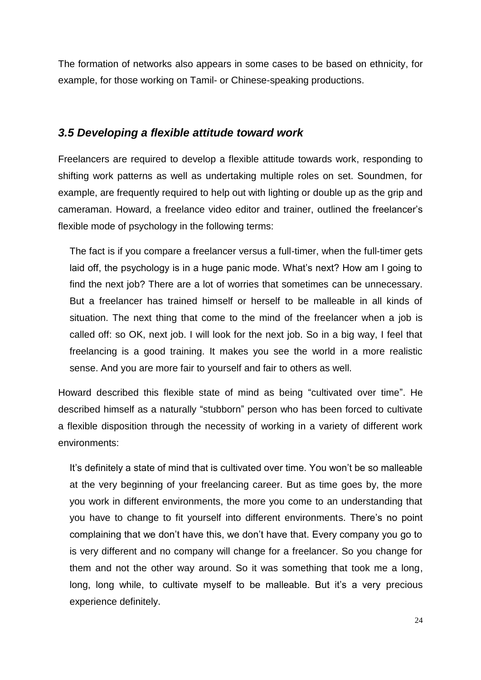The formation of networks also appears in some cases to be based on ethnicity, for example, for those working on Tamil- or Chinese-speaking productions.

#### <span id="page-29-0"></span>*3.5 Developing a flexible attitude toward work*

Freelancers are required to develop a flexible attitude towards work, responding to shifting work patterns as well as undertaking multiple roles on set. Soundmen, for example, are frequently required to help out with lighting or double up as the grip and cameraman. Howard, a freelance video editor and trainer, outlined the freelancer's flexible mode of psychology in the following terms:

The fact is if you compare a freelancer versus a full-timer, when the full-timer gets laid off, the psychology is in a huge panic mode. What's next? How am I going to find the next job? There are a lot of worries that sometimes can be unnecessary. But a freelancer has trained himself or herself to be malleable in all kinds of situation. The next thing that come to the mind of the freelancer when a job is called off: so OK, next job. I will look for the next job. So in a big way, I feel that freelancing is a good training. It makes you see the world in a more realistic sense. And you are more fair to yourself and fair to others as well.

Howard described this flexible state of mind as being "cultivated over time". He described himself as a naturally "stubborn" person who has been forced to cultivate a flexible disposition through the necessity of working in a variety of different work environments:

It's definitely a state of mind that is cultivated over time. You won't be so malleable at the very beginning of your freelancing career. But as time goes by, the more you work in different environments, the more you come to an understanding that you have to change to fit yourself into different environments. There's no point complaining that we don't have this, we don't have that. Every company you go to is very different and no company will change for a freelancer. So you change for them and not the other way around. So it was something that took me a long, long, long while, to cultivate myself to be malleable. But it's a very precious experience definitely.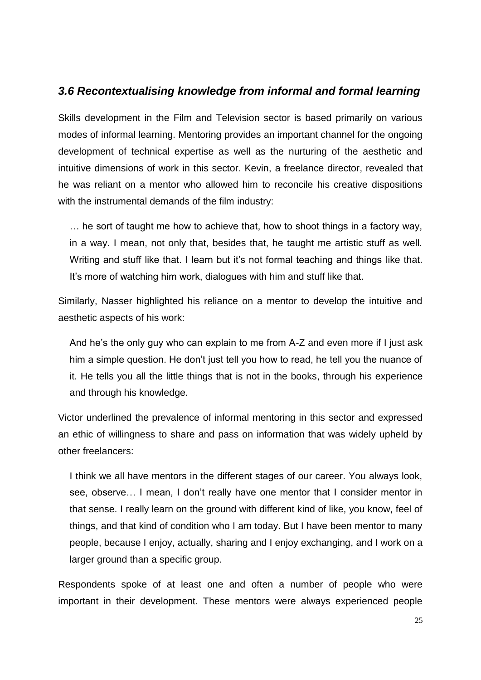#### <span id="page-30-0"></span>*3.6 Recontextualising knowledge from informal and formal learning*

Skills development in the Film and Television sector is based primarily on various modes of informal learning. Mentoring provides an important channel for the ongoing development of technical expertise as well as the nurturing of the aesthetic and intuitive dimensions of work in this sector. Kevin, a freelance director, revealed that he was reliant on a mentor who allowed him to reconcile his creative dispositions with the instrumental demands of the film industry:

… he sort of taught me how to achieve that, how to shoot things in a factory way, in a way. I mean, not only that, besides that, he taught me artistic stuff as well. Writing and stuff like that. I learn but it's not formal teaching and things like that. It's more of watching him work, dialogues with him and stuff like that.

Similarly, Nasser highlighted his reliance on a mentor to develop the intuitive and aesthetic aspects of his work:

And he's the only guy who can explain to me from A-Z and even more if I just ask him a simple question. He don't just tell you how to read, he tell you the nuance of it. He tells you all the little things that is not in the books, through his experience and through his knowledge.

Victor underlined the prevalence of informal mentoring in this sector and expressed an ethic of willingness to share and pass on information that was widely upheld by other freelancers:

I think we all have mentors in the different stages of our career. You always look, see, observe… I mean, I don't really have one mentor that I consider mentor in that sense. I really learn on the ground with different kind of like, you know, feel of things, and that kind of condition who I am today. But I have been mentor to many people, because I enjoy, actually, sharing and I enjoy exchanging, and I work on a larger ground than a specific group.

Respondents spoke of at least one and often a number of people who were important in their development. These mentors were always experienced people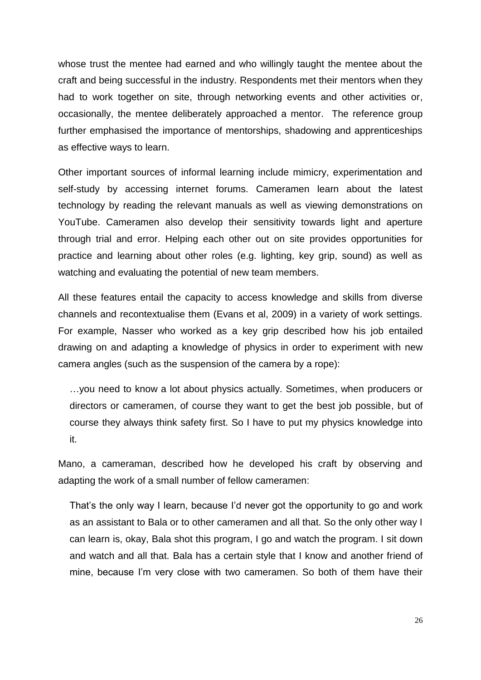whose trust the mentee had earned and who willingly taught the mentee about the craft and being successful in the industry. Respondents met their mentors when they had to work together on site, through networking events and other activities or, occasionally, the mentee deliberately approached a mentor. The reference group further emphasised the importance of mentorships, shadowing and apprenticeships as effective ways to learn.

Other important sources of informal learning include mimicry, experimentation and self-study by accessing internet forums. Cameramen learn about the latest technology by reading the relevant manuals as well as viewing demonstrations on YouTube. Cameramen also develop their sensitivity towards light and aperture through trial and error. Helping each other out on site provides opportunities for practice and learning about other roles (e.g. lighting, key grip, sound) as well as watching and evaluating the potential of new team members.

All these features entail the capacity to access knowledge and skills from diverse channels and recontextualise them (Evans et al, 2009) in a variety of work settings. For example, Nasser who worked as a key grip described how his job entailed drawing on and adapting a knowledge of physics in order to experiment with new camera angles (such as the suspension of the camera by a rope):

…you need to know a lot about physics actually. Sometimes, when producers or directors or cameramen, of course they want to get the best job possible, but of course they always think safety first. So I have to put my physics knowledge into it.

Mano, a cameraman, described how he developed his craft by observing and adapting the work of a small number of fellow cameramen:

That's the only way I learn, because I'd never got the opportunity to go and work as an assistant to Bala or to other cameramen and all that. So the only other way I can learn is, okay, Bala shot this program, I go and watch the program. I sit down and watch and all that. Bala has a certain style that I know and another friend of mine, because I'm very close with two cameramen. So both of them have their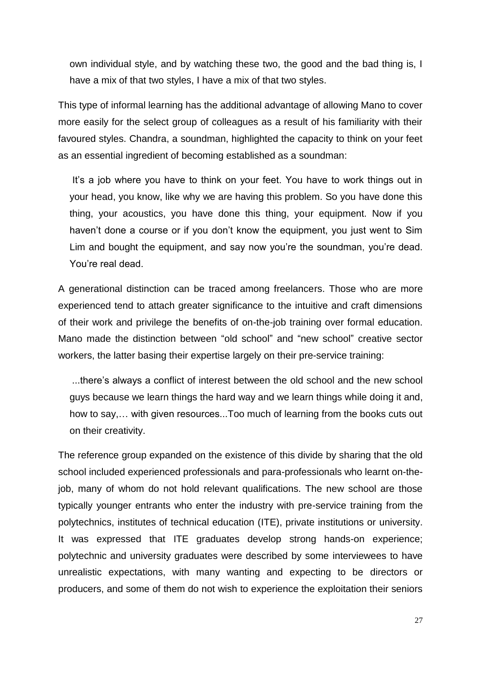own individual style, and by watching these two, the good and the bad thing is, I have a mix of that two styles, I have a mix of that two styles.

This type of informal learning has the additional advantage of allowing Mano to cover more easily for the select group of colleagues as a result of his familiarity with their favoured styles. Chandra, a soundman, highlighted the capacity to think on your feet as an essential ingredient of becoming established as a soundman:

It's a job where you have to think on your feet. You have to work things out in your head, you know, like why we are having this problem. So you have done this thing, your acoustics, you have done this thing, your equipment. Now if you haven't done a course or if you don't know the equipment, you just went to Sim Lim and bought the equipment, and say now you're the soundman, you're dead. You're real dead.

A generational distinction can be traced among freelancers. Those who are more experienced tend to attach greater significance to the intuitive and craft dimensions of their work and privilege the benefits of on-the-job training over formal education. Mano made the distinction between "old school" and "new school" creative sector workers, the latter basing their expertise largely on their pre-service training:

...there's always a conflict of interest between the old school and the new school guys because we learn things the hard way and we learn things while doing it and, how to say,… with given resources...Too much of learning from the books cuts out on their creativity.

The reference group expanded on the existence of this divide by sharing that the old school included experienced professionals and para-professionals who learnt on-thejob, many of whom do not hold relevant qualifications. The new school are those typically younger entrants who enter the industry with pre-service training from the polytechnics, institutes of technical education (ITE), private institutions or university. It was expressed that ITE graduates develop strong hands-on experience; polytechnic and university graduates were described by some interviewees to have unrealistic expectations, with many wanting and expecting to be directors or producers, and some of them do not wish to experience the exploitation their seniors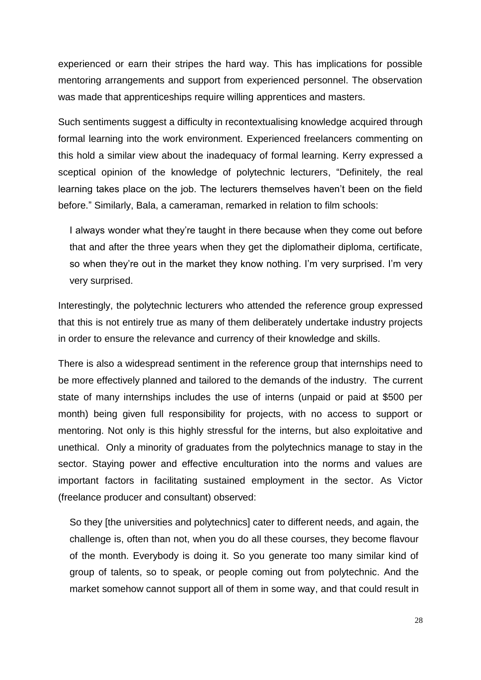experienced or earn their stripes the hard way. This has implications for possible mentoring arrangements and support from experienced personnel. The observation was made that apprenticeships require willing apprentices and masters.

Such sentiments suggest a difficulty in recontextualising knowledge acquired through formal learning into the work environment. Experienced freelancers commenting on this hold a similar view about the inadequacy of formal learning. Kerry expressed a sceptical opinion of the knowledge of polytechnic lecturers, "Definitely, the real learning takes place on the job. The lecturers themselves haven't been on the field before." Similarly, Bala, a cameraman, remarked in relation to film schools:

I always wonder what they're taught in there because when they come out before that and after the three years when they get the diplomatheir diploma, certificate, so when they're out in the market they know nothing. I'm very surprised. I'm very very surprised.

Interestingly, the polytechnic lecturers who attended the reference group expressed that this is not entirely true as many of them deliberately undertake industry projects in order to ensure the relevance and currency of their knowledge and skills.

There is also a widespread sentiment in the reference group that internships need to be more effectively planned and tailored to the demands of the industry. The current state of many internships includes the use of interns (unpaid or paid at \$500 per month) being given full responsibility for projects, with no access to support or mentoring. Not only is this highly stressful for the interns, but also exploitative and unethical. Only a minority of graduates from the polytechnics manage to stay in the sector. Staying power and effective enculturation into the norms and values are important factors in facilitating sustained employment in the sector. As Victor (freelance producer and consultant) observed:

So they [the universities and polytechnics] cater to different needs, and again, the challenge is, often than not, when you do all these courses, they become flavour of the month. Everybody is doing it. So you generate too many similar kind of group of talents, so to speak, or people coming out from polytechnic. And the market somehow cannot support all of them in some way, and that could result in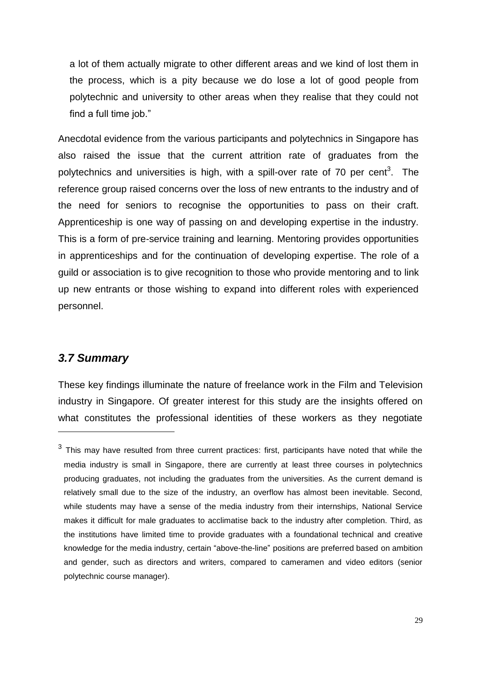a lot of them actually migrate to other different areas and we kind of lost them in the process, which is a pity because we do lose a lot of good people from polytechnic and university to other areas when they realise that they could not find a full time job."

Anecdotal evidence from the various participants and polytechnics in Singapore has also raised the issue that the current attrition rate of graduates from the polytechnics and universities is high, with a spill-over rate of 70 per cent<sup>3</sup>. The reference group raised concerns over the loss of new entrants to the industry and of the need for seniors to recognise the opportunities to pass on their craft. Apprenticeship is one way of passing on and developing expertise in the industry. This is a form of pre-service training and learning. Mentoring provides opportunities in apprenticeships and for the continuation of developing expertise. The role of a guild or association is to give recognition to those who provide mentoring and to link up new entrants or those wishing to expand into different roles with experienced personnel.

#### <span id="page-34-0"></span>*3.7 Summary*

1

These key findings illuminate the nature of freelance work in the Film and Television industry in Singapore. Of greater interest for this study are the insights offered on what constitutes the professional identities of these workers as they negotiate

 $3$  This may have resulted from three current practices: first, participants have noted that while the media industry is small in Singapore, there are currently at least three courses in polytechnics producing graduates, not including the graduates from the universities. As the current demand is relatively small due to the size of the industry, an overflow has almost been inevitable. Second, while students may have a sense of the media industry from their internships, National Service makes it difficult for male graduates to acclimatise back to the industry after completion. Third, as the institutions have limited time to provide graduates with a foundational technical and creative knowledge for the media industry, certain "above-the-line" positions are preferred based on ambition and gender, such as directors and writers, compared to cameramen and video editors (senior polytechnic course manager).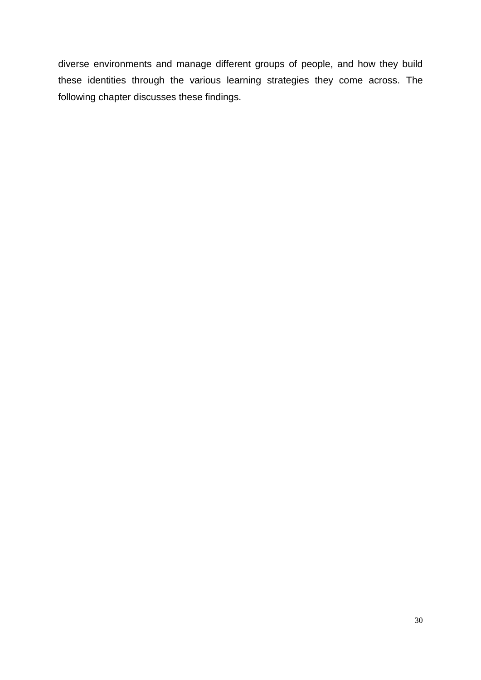diverse environments and manage different groups of people, and how they build these identities through the various learning strategies they come across. The following chapter discusses these findings.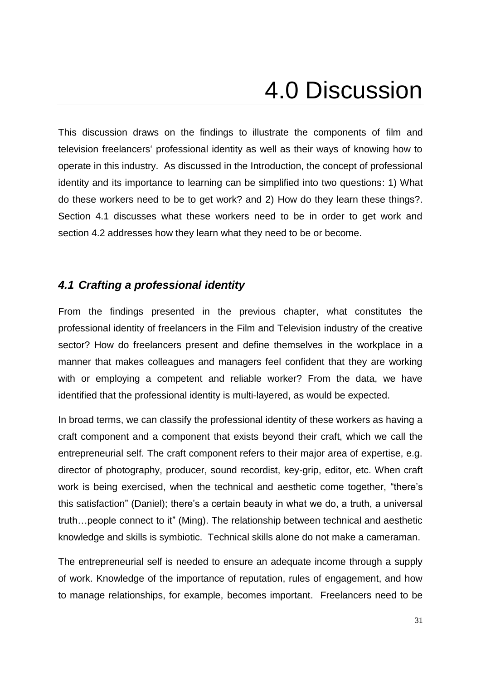# 4.0 Discussion

<span id="page-36-0"></span>This discussion draws on the findings to illustrate the components of film and television freelancers' professional identity as well as their ways of knowing how to operate in this industry. As discussed in the Introduction, the concept of professional identity and its importance to learning can be simplified into two questions: 1) What do these workers need to be to get work? and 2) How do they learn these things?. Section 4.1 discusses what these workers need to be in order to get work and section 4.2 addresses how they learn what they need to be or become.

#### <span id="page-36-1"></span>*4.1 Crafting a professional identity*

From the findings presented in the previous chapter, what constitutes the professional identity of freelancers in the Film and Television industry of the creative sector? How do freelancers present and define themselves in the workplace in a manner that makes colleagues and managers feel confident that they are working with or employing a competent and reliable worker? From the data, we have identified that the professional identity is multi-layered, as would be expected.

In broad terms, we can classify the professional identity of these workers as having a craft component and a component that exists beyond their craft, which we call the entrepreneurial self. The craft component refers to their major area of expertise, e.g. director of photography, producer, sound recordist, key-grip, editor, etc. When craft work is being exercised, when the technical and aesthetic come together, "there's this satisfaction" (Daniel); there's a certain beauty in what we do, a truth, a universal truth…people connect to it" (Ming). The relationship between technical and aesthetic knowledge and skills is symbiotic. Technical skills alone do not make a cameraman.

The entrepreneurial self is needed to ensure an adequate income through a supply of work. Knowledge of the importance of reputation, rules of engagement, and how to manage relationships, for example, becomes important. Freelancers need to be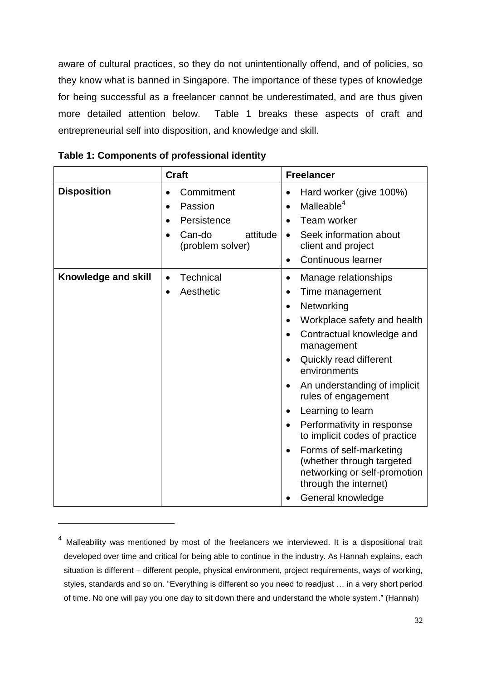aware of cultural practices, so they do not unintentionally offend, and of policies, so they know what is banned in Singapore. The importance of these types of knowledge for being successful as a freelancer cannot be underestimated, and are thus given more detailed attention below. Table 1 breaks these aspects of craft and entrepreneurial self into disposition, and knowledge and skill.

|                     | <b>Craft</b>                                                                                | <b>Freelancer</b>                                                                                                                                                                                                                                                                                                                                                                                                                                                                                                                        |
|---------------------|---------------------------------------------------------------------------------------------|------------------------------------------------------------------------------------------------------------------------------------------------------------------------------------------------------------------------------------------------------------------------------------------------------------------------------------------------------------------------------------------------------------------------------------------------------------------------------------------------------------------------------------------|
| <b>Disposition</b>  | Commitment<br>Passion<br>$\bullet$<br>Persistence<br>Can-do<br>attitude<br>(problem solver) | Hard worker (give 100%)<br>Malleable <sup>4</sup><br><b>Team worker</b><br>Seek information about<br>client and project<br>Continuous learner<br>$\bullet$                                                                                                                                                                                                                                                                                                                                                                               |
| Knowledge and skill | <b>Technical</b><br>$\bullet$<br>Aesthetic<br>$\bullet$                                     | Manage relationships<br>$\bullet$<br>Time management<br>Networking<br>$\bullet$<br>Workplace safety and health<br>Contractual knowledge and<br>management<br>Quickly read different<br>$\bullet$<br>environments<br>An understanding of implicit<br>$\bullet$<br>rules of engagement<br>Learning to learn<br>$\bullet$<br>Performativity in response<br>to implicit codes of practice<br>Forms of self-marketing<br>$\bullet$<br>(whether through targeted<br>networking or self-promotion<br>through the internet)<br>General knowledge |

1

<sup>&</sup>lt;sup>4</sup> Malleability was mentioned by most of the freelancers we interviewed. It is a dispositional trait developed over time and critical for being able to continue in the industry. As Hannah explains, each situation is different – different people, physical environment, project requirements, ways of working, styles, standards and so on. "Everything is different so you need to readjust … in a very short period of time. No one will pay you one day to sit down there and understand the whole system." (Hannah)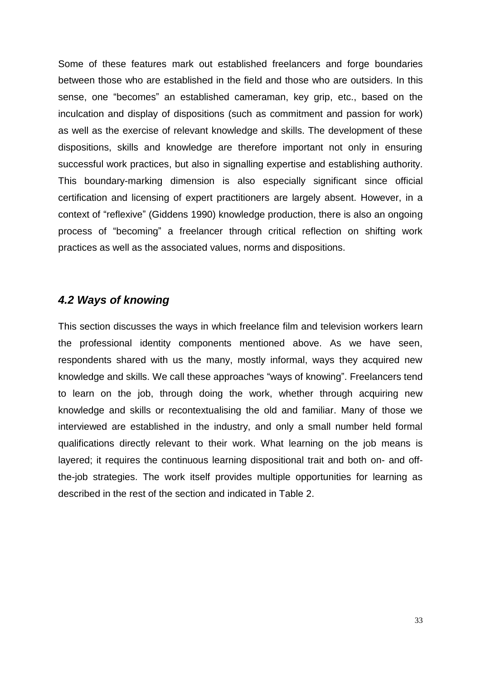Some of these features mark out established freelancers and forge boundaries between those who are established in the field and those who are outsiders. In this sense, one "becomes" an established cameraman, key grip, etc., based on the inculcation and display of dispositions (such as commitment and passion for work) as well as the exercise of relevant knowledge and skills. The development of these dispositions, skills and knowledge are therefore important not only in ensuring successful work practices, but also in signalling expertise and establishing authority. This boundary-marking dimension is also especially significant since official certification and licensing of expert practitioners are largely absent. However, in a context of "reflexive" (Giddens 1990) knowledge production, there is also an ongoing process of "becoming" a freelancer through critical reflection on shifting work practices as well as the associated values, norms and dispositions.

#### <span id="page-38-0"></span>*4.2 Ways of knowing*

This section discusses the ways in which freelance film and television workers learn the professional identity components mentioned above. As we have seen, respondents shared with us the many, mostly informal, ways they acquired new knowledge and skills. We call these approaches "ways of knowing". Freelancers tend to learn on the job, through doing the work, whether through acquiring new knowledge and skills or recontextualising the old and familiar. Many of those we interviewed are established in the industry, and only a small number held formal qualifications directly relevant to their work. What learning on the job means is layered; it requires the continuous learning dispositional trait and both on- and offthe-job strategies. The work itself provides multiple opportunities for learning as described in the rest of the section and indicated in Table 2.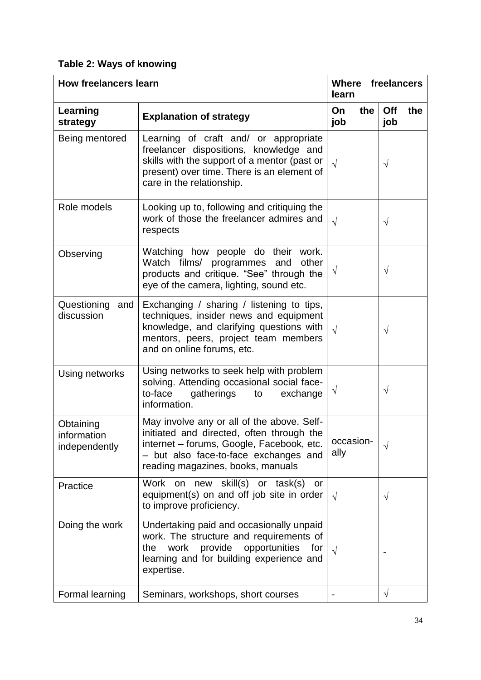### **Table 2: Ways of knowing**

| <b>How freelancers learn</b>              |                                                                                                                                                                                                                    | Where<br>freelancers<br>learn |                   |
|-------------------------------------------|--------------------------------------------------------------------------------------------------------------------------------------------------------------------------------------------------------------------|-------------------------------|-------------------|
| Learning<br>strategy                      | <b>Explanation of strategy</b>                                                                                                                                                                                     | On<br>the<br>job              | Off<br>the<br>job |
| Being mentored                            | Learning of craft and/ or appropriate<br>freelancer dispositions, knowledge and<br>skills with the support of a mentor (past or<br>present) over time. There is an element of<br>care in the relationship.         | $\sqrt{ }$                    | $\sqrt{}$         |
| Role models                               | Looking up to, following and critiquing the<br>work of those the freelancer admires and<br>respects                                                                                                                | $\sqrt{ }$                    | $\sqrt{ }$        |
| Observing                                 | Watching how people do their work.<br>Watch films/ programmes<br>and<br>other<br>products and critique. "See" through the<br>eye of the camera, lighting, sound etc.                                               | $\sqrt{}$                     | $\sqrt{}$         |
| Questioning<br>and<br>discussion          | Exchanging / sharing / listening to tips,<br>techniques, insider news and equipment<br>knowledge, and clarifying questions with<br>mentors, peers, project team members<br>and on online forums, etc.              | $\sqrt{ }$                    | $\sqrt{}$         |
| Using networks                            | Using networks to seek help with problem<br>solving. Attending occasional social face-<br>to-face<br>gatherings<br>to<br>exchange<br>information.                                                                  | $\sqrt{}$                     | $\sqrt{}$         |
| Obtaining<br>information<br>independently | May involve any or all of the above. Self-<br>initiated and directed, often through the<br>internet - forums, Google, Facebook, etc.<br>- but also face-to-face exchanges and<br>reading magazines, books, manuals | occasion-<br>ally             | $\sqrt{ }$        |
| Practice                                  | Work on new skill(s) or task(s) or<br>equipment(s) on and off job site in order<br>to improve proficiency.                                                                                                         | $\sqrt{ }$                    | $\sqrt{}$         |
| Doing the work                            | Undertaking paid and occasionally unpaid<br>work. The structure and requirements of<br>work provide opportunities<br>the<br>for<br>learning and for building experience and<br>expertise.                          | $\sqrt{}$                     |                   |
| Formal learning                           | Seminars, workshops, short courses                                                                                                                                                                                 |                               | $\sqrt{}$         |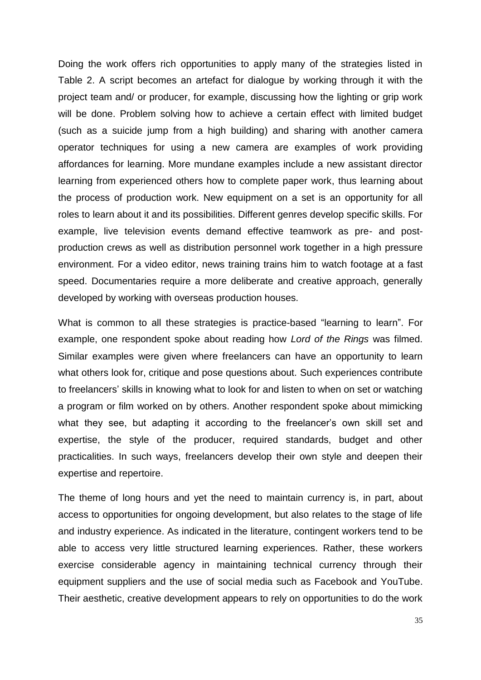Doing the work offers rich opportunities to apply many of the strategies listed in Table 2. A script becomes an artefact for dialogue by working through it with the project team and/ or producer, for example, discussing how the lighting or grip work will be done. Problem solving how to achieve a certain effect with limited budget (such as a suicide jump from a high building) and sharing with another camera operator techniques for using a new camera are examples of work providing affordances for learning. More mundane examples include a new assistant director learning from experienced others how to complete paper work, thus learning about the process of production work. New equipment on a set is an opportunity for all roles to learn about it and its possibilities. Different genres develop specific skills. For example, live television events demand effective teamwork as pre- and postproduction crews as well as distribution personnel work together in a high pressure environment. For a video editor, news training trains him to watch footage at a fast speed. Documentaries require a more deliberate and creative approach, generally developed by working with overseas production houses.

What is common to all these strategies is practice-based "learning to learn". For example, one respondent spoke about reading how *Lord of the Rings* was filmed. Similar examples were given where freelancers can have an opportunity to learn what others look for, critique and pose questions about. Such experiences contribute to freelancers' skills in knowing what to look for and listen to when on set or watching a program or film worked on by others. Another respondent spoke about mimicking what they see, but adapting it according to the freelancer's own skill set and expertise, the style of the producer, required standards, budget and other practicalities. In such ways, freelancers develop their own style and deepen their expertise and repertoire.

The theme of long hours and yet the need to maintain currency is, in part, about access to opportunities for ongoing development, but also relates to the stage of life and industry experience. As indicated in the literature, contingent workers tend to be able to access very little structured learning experiences. Rather, these workers exercise considerable agency in maintaining technical currency through their equipment suppliers and the use of social media such as Facebook and YouTube. Their aesthetic, creative development appears to rely on opportunities to do the work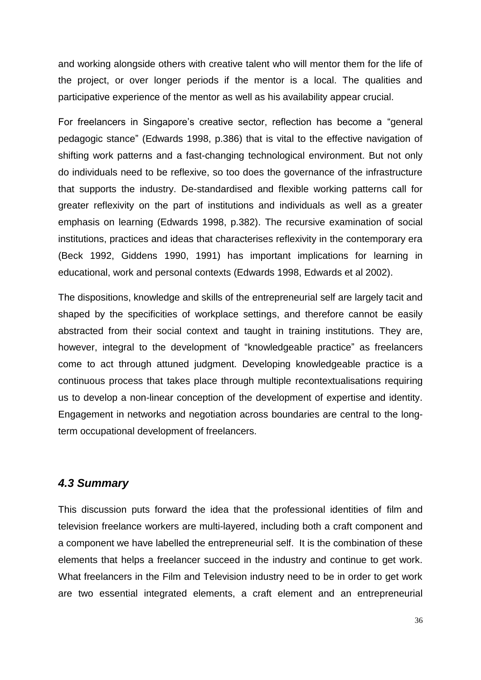and working alongside others with creative talent who will mentor them for the life of the project, or over longer periods if the mentor is a local. The qualities and participative experience of the mentor as well as his availability appear crucial.

For freelancers in Singapore's creative sector, reflection has become a "general pedagogic stance" (Edwards 1998, p.386) that is vital to the effective navigation of shifting work patterns and a fast-changing technological environment. But not only do individuals need to be reflexive, so too does the governance of the infrastructure that supports the industry. De-standardised and flexible working patterns call for greater reflexivity on the part of institutions and individuals as well as a greater emphasis on learning (Edwards 1998, p.382). The recursive examination of social institutions, practices and ideas that characterises reflexivity in the contemporary era (Beck 1992, Giddens 1990, 1991) has important implications for learning in educational, work and personal contexts (Edwards 1998, Edwards et al 2002).

The dispositions, knowledge and skills of the entrepreneurial self are largely tacit and shaped by the specificities of workplace settings, and therefore cannot be easily abstracted from their social context and taught in training institutions. They are, however, integral to the development of "knowledgeable practice" as freelancers come to act through attuned judgment. Developing knowledgeable practice is a continuous process that takes place through multiple recontextualisations requiring us to develop a non-linear conception of the development of expertise and identity. Engagement in networks and negotiation across boundaries are central to the longterm occupational development of freelancers.

#### <span id="page-41-0"></span>*4.3 Summary*

This discussion puts forward the idea that the professional identities of film and television freelance workers are multi-layered, including both a craft component and a component we have labelled the entrepreneurial self. It is the combination of these elements that helps a freelancer succeed in the industry and continue to get work. What freelancers in the Film and Television industry need to be in order to get work are two essential integrated elements, a craft element and an entrepreneurial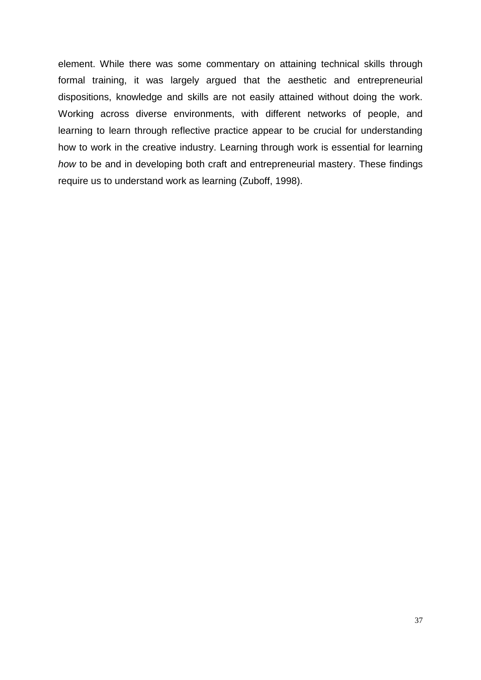element. While there was some commentary on attaining technical skills through formal training, it was largely argued that the aesthetic and entrepreneurial dispositions, knowledge and skills are not easily attained without doing the work. Working across diverse environments, with different networks of people, and learning to learn through reflective practice appear to be crucial for understanding how to work in the creative industry. Learning through work is essential for learning *how* to be and in developing both craft and entrepreneurial mastery. These findings require us to understand work as learning (Zuboff, 1998).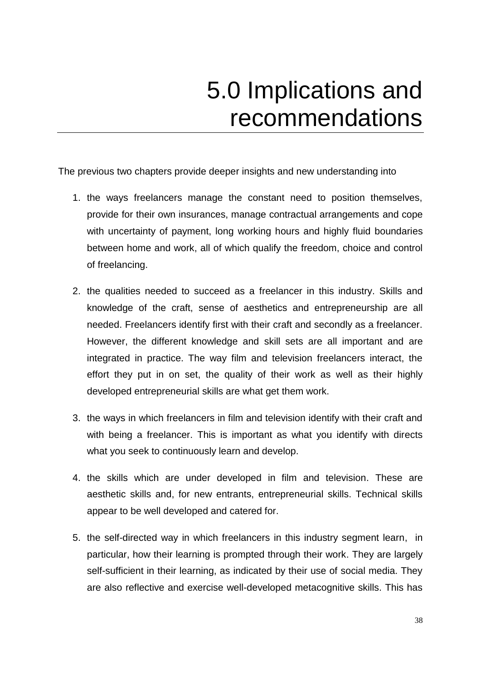## 5.0 Implications and recommendations

<span id="page-43-0"></span>The previous two chapters provide deeper insights and new understanding into

- 1. the ways freelancers manage the constant need to position themselves, provide for their own insurances, manage contractual arrangements and cope with uncertainty of payment, long working hours and highly fluid boundaries between home and work, all of which qualify the freedom, choice and control of freelancing.
- 2. the qualities needed to succeed as a freelancer in this industry. Skills and knowledge of the craft, sense of aesthetics and entrepreneurship are all needed. Freelancers identify first with their craft and secondly as a freelancer. However, the different knowledge and skill sets are all important and are integrated in practice. The way film and television freelancers interact, the effort they put in on set, the quality of their work as well as their highly developed entrepreneurial skills are what get them work.
- 3. the ways in which freelancers in film and television identify with their craft and with being a freelancer. This is important as what you identify with directs what you seek to continuously learn and develop.
- 4. the skills which are under developed in film and television. These are aesthetic skills and, for new entrants, entrepreneurial skills. Technical skills appear to be well developed and catered for.
- 5. the self-directed way in which freelancers in this industry segment learn, in particular, how their learning is prompted through their work. They are largely self-sufficient in their learning, as indicated by their use of social media. They are also reflective and exercise well-developed metacognitive skills. This has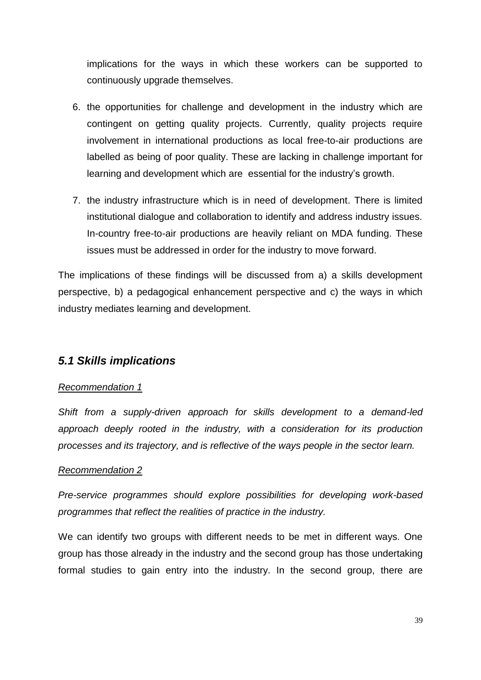implications for the ways in which these workers can be supported to continuously upgrade themselves.

- 6. the opportunities for challenge and development in the industry which are contingent on getting quality projects. Currently, quality projects require involvement in international productions as local free-to-air productions are labelled as being of poor quality. These are lacking in challenge important for learning and development which are essential for the industry's growth.
- 7. the industry infrastructure which is in need of development. There is limited institutional dialogue and collaboration to identify and address industry issues. In-country free-to-air productions are heavily reliant on MDA funding. These issues must be addressed in order for the industry to move forward.

The implications of these findings will be discussed from a) a skills development perspective, b) a pedagogical enhancement perspective and c) the ways in which industry mediates learning and development.

#### <span id="page-44-0"></span>*5.1 Skills implications*

#### *Recommendation 1*

*Shift from a supply-driven approach for skills development to a demand-led approach deeply rooted in the industry, with a consideration for its production processes and its trajectory, and is reflective of the ways people in the sector learn.*

#### *Recommendation 2*

*Pre-service programmes should explore possibilities for developing work-based programmes that reflect the realities of practice in the industry.*

We can identify two groups with different needs to be met in different ways. One group has those already in the industry and the second group has those undertaking formal studies to gain entry into the industry. In the second group, there are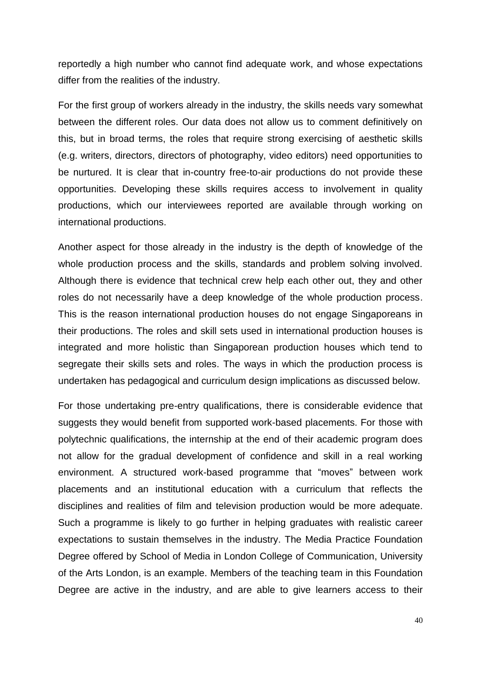reportedly a high number who cannot find adequate work, and whose expectations differ from the realities of the industry.

For the first group of workers already in the industry, the skills needs vary somewhat between the different roles. Our data does not allow us to comment definitively on this, but in broad terms, the roles that require strong exercising of aesthetic skills (e.g. writers, directors, directors of photography, video editors) need opportunities to be nurtured. It is clear that in-country free-to-air productions do not provide these opportunities. Developing these skills requires access to involvement in quality productions, which our interviewees reported are available through working on international productions.

Another aspect for those already in the industry is the depth of knowledge of the whole production process and the skills, standards and problem solving involved. Although there is evidence that technical crew help each other out, they and other roles do not necessarily have a deep knowledge of the whole production process. This is the reason international production houses do not engage Singaporeans in their productions. The roles and skill sets used in international production houses is integrated and more holistic than Singaporean production houses which tend to segregate their skills sets and roles. The ways in which the production process is undertaken has pedagogical and curriculum design implications as discussed below.

For those undertaking pre-entry qualifications, there is considerable evidence that suggests they would benefit from supported work-based placements. For those with polytechnic qualifications, the internship at the end of their academic program does not allow for the gradual development of confidence and skill in a real working environment. A structured work-based programme that "moves" between work placements and an institutional education with a curriculum that reflects the disciplines and realities of film and television production would be more adequate. Such a programme is likely to go further in helping graduates with realistic career expectations to sustain themselves in the industry. The Media Practice Foundation Degree offered by School of Media in London College of Communication, University of the Arts London, is an example. Members of the teaching team in this Foundation Degree are active in the industry, and are able to give learners access to their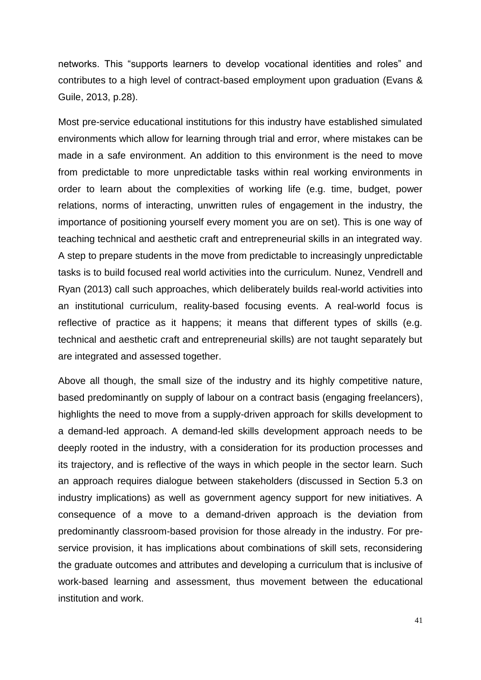networks. This "supports learners to develop vocational identities and roles" and contributes to a high level of contract-based employment upon graduation (Evans & Guile, 2013, p.28).

Most pre-service educational institutions for this industry have established simulated environments which allow for learning through trial and error, where mistakes can be made in a safe environment. An addition to this environment is the need to move from predictable to more unpredictable tasks within real working environments in order to learn about the complexities of working life (e.g. time, budget, power relations, norms of interacting, unwritten rules of engagement in the industry, the importance of positioning yourself every moment you are on set). This is one way of teaching technical and aesthetic craft and entrepreneurial skills in an integrated way. A step to prepare students in the move from predictable to increasingly unpredictable tasks is to build focused real world activities into the curriculum. Nunez, Vendrell and Ryan (2013) call such approaches, which deliberately builds real-world activities into an institutional curriculum, reality-based focusing events. A real-world focus is reflective of practice as it happens; it means that different types of skills (e.g. technical and aesthetic craft and entrepreneurial skills) are not taught separately but are integrated and assessed together.

Above all though, the small size of the industry and its highly competitive nature, based predominantly on supply of labour on a contract basis (engaging freelancers), highlights the need to move from a supply-driven approach for skills development to a demand-led approach. A demand-led skills development approach needs to be deeply rooted in the industry, with a consideration for its production processes and its trajectory, and is reflective of the ways in which people in the sector learn. Such an approach requires dialogue between stakeholders (discussed in Section 5.3 on industry implications) as well as government agency support for new initiatives. A consequence of a move to a demand-driven approach is the deviation from predominantly classroom-based provision for those already in the industry. For preservice provision, it has implications about combinations of skill sets, reconsidering the graduate outcomes and attributes and developing a curriculum that is inclusive of work-based learning and assessment, thus movement between the educational institution and work.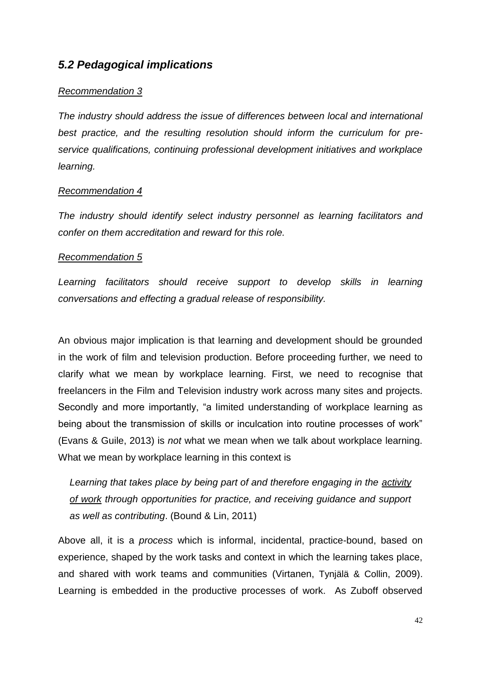#### <span id="page-47-0"></span>*5.2 Pedagogical implications*

#### *Recommendation 3*

*The industry should address the issue of differences between local and international best practice, and the resulting resolution should inform the curriculum for preservice qualifications, continuing professional development initiatives and workplace learning.*

#### *Recommendation 4*

*The industry should identify select industry personnel as learning facilitators and confer on them accreditation and reward for this role.*

#### *Recommendation 5*

*Learning facilitators should receive support to develop skills in learning conversations and effecting a gradual release of responsibility.*

An obvious major implication is that learning and development should be grounded in the work of film and television production. Before proceeding further, we need to clarify what we mean by workplace learning. First, we need to recognise that freelancers in the Film and Television industry work across many sites and projects. Secondly and more importantly, "a limited understanding of workplace learning as being about the transmission of skills or inculcation into routine processes of work" (Evans & Guile, 2013) is *not* what we mean when we talk about workplace learning. What we mean by workplace learning in this context is

*Learning that takes place by being part of and therefore engaging in the activity of work through opportunities for practice, and receiving guidance and support as well as contributing*. (Bound & Lin, 2011)

Above all, it is a *process* which is informal, incidental, practice-bound, based on experience, shaped by the work tasks and context in which the learning takes place, and shared with work teams and communities (Virtanen, Tynjälä & Collin, 2009). Learning is embedded in the productive processes of work. As Zuboff observed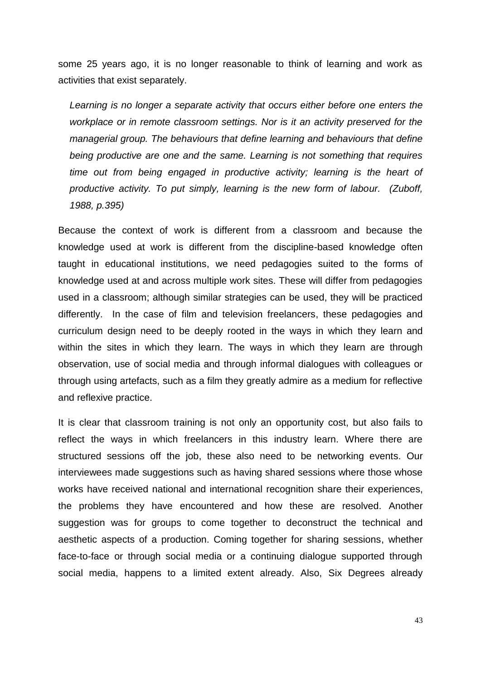some 25 years ago, it is no longer reasonable to think of learning and work as activities that exist separately.

*Learning is no longer a separate activity that occurs either before one enters the workplace or in remote classroom settings. Nor is it an activity preserved for the managerial group. The behaviours that define learning and behaviours that define being productive are one and the same. Learning is not something that requires time out from being engaged in productive activity; learning is the heart of productive activity. To put simply, learning is the new form of labour. (Zuboff, 1988, p.395)*

Because the context of work is different from a classroom and because the knowledge used at work is different from the discipline-based knowledge often taught in educational institutions, we need pedagogies suited to the forms of knowledge used at and across multiple work sites. These will differ from pedagogies used in a classroom; although similar strategies can be used, they will be practiced differently. In the case of film and television freelancers, these pedagogies and curriculum design need to be deeply rooted in the ways in which they learn and within the sites in which they learn. The ways in which they learn are through observation, use of social media and through informal dialogues with colleagues or through using artefacts, such as a film they greatly admire as a medium for reflective and reflexive practice.

It is clear that classroom training is not only an opportunity cost, but also fails to reflect the ways in which freelancers in this industry learn. Where there are structured sessions off the job, these also need to be networking events. Our interviewees made suggestions such as having shared sessions where those whose works have received national and international recognition share their experiences, the problems they have encountered and how these are resolved. Another suggestion was for groups to come together to deconstruct the technical and aesthetic aspects of a production. Coming together for sharing sessions, whether face-to-face or through social media or a continuing dialogue supported through social media, happens to a limited extent already. Also, Six Degrees already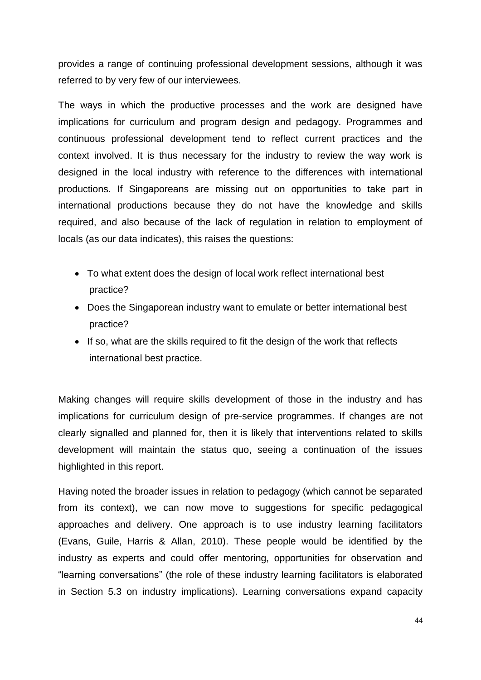provides a range of continuing professional development sessions, although it was referred to by very few of our interviewees.

The ways in which the productive processes and the work are designed have implications for curriculum and program design and pedagogy. Programmes and continuous professional development tend to reflect current practices and the context involved. It is thus necessary for the industry to review the way work is designed in the local industry with reference to the differences with international productions. If Singaporeans are missing out on opportunities to take part in international productions because they do not have the knowledge and skills required, and also because of the lack of regulation in relation to employment of locals (as our data indicates), this raises the questions:

- To what extent does the design of local work reflect international best practice?
- Does the Singaporean industry want to emulate or better international best practice?
- If so, what are the skills required to fit the design of the work that reflects international best practice.

Making changes will require skills development of those in the industry and has implications for curriculum design of pre-service programmes. If changes are not clearly signalled and planned for, then it is likely that interventions related to skills development will maintain the status quo, seeing a continuation of the issues highlighted in this report.

Having noted the broader issues in relation to pedagogy (which cannot be separated from its context), we can now move to suggestions for specific pedagogical approaches and delivery. One approach is to use industry learning facilitators (Evans, Guile, Harris & Allan, 2010). These people would be identified by the industry as experts and could offer mentoring, opportunities for observation and "learning conversations" (the role of these industry learning facilitators is elaborated in Section 5.3 on industry implications). Learning conversations expand capacity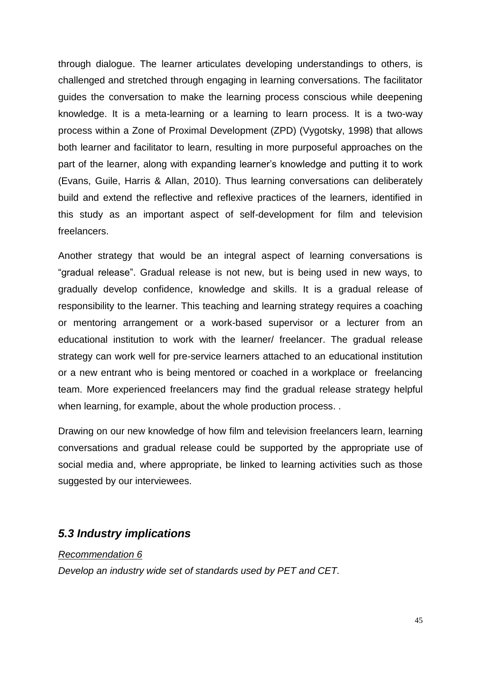through dialogue. The learner articulates developing understandings to others, is challenged and stretched through engaging in learning conversations. The facilitator guides the conversation to make the learning process conscious while deepening knowledge. It is a meta-learning or a learning to learn process. It is a two-way process within a Zone of Proximal Development (ZPD) (Vygotsky, 1998) that allows both learner and facilitator to learn, resulting in more purposeful approaches on the part of the learner, along with expanding learner's knowledge and putting it to work (Evans, Guile, Harris & Allan, 2010). Thus learning conversations can deliberately build and extend the reflective and reflexive practices of the learners, identified in this study as an important aspect of self-development for film and television freelancers.

Another strategy that would be an integral aspect of learning conversations is "gradual release". Gradual release is not new, but is being used in new ways, to gradually develop confidence, knowledge and skills. It is a gradual release of responsibility to the learner. This teaching and learning strategy requires a coaching or mentoring arrangement or a work-based supervisor or a lecturer from an educational institution to work with the learner/ freelancer. The gradual release strategy can work well for pre-service learners attached to an educational institution or a new entrant who is being mentored or coached in a workplace or freelancing team. More experienced freelancers may find the gradual release strategy helpful when learning, for example, about the whole production process. .

Drawing on our new knowledge of how film and television freelancers learn, learning conversations and gradual release could be supported by the appropriate use of social media and, where appropriate, be linked to learning activities such as those suggested by our interviewees.

#### <span id="page-50-0"></span>*5.3 Industry implications*

#### *Recommendation 6*

*Develop an industry wide set of standards used by PET and CET.*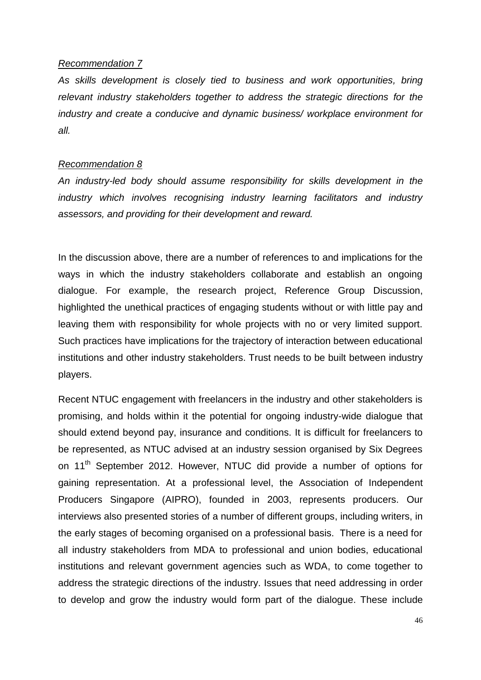#### *Recommendation 7*

*As skills development is closely tied to business and work opportunities, bring relevant industry stakeholders together to address the strategic directions for the industry and create a conducive and dynamic business/ workplace environment for all.*

#### *Recommendation 8*

*An industry-led body should assume responsibility for skills development in the industry which involves recognising industry learning facilitators and industry assessors, and providing for their development and reward.*

In the discussion above, there are a number of references to and implications for the ways in which the industry stakeholders collaborate and establish an ongoing dialogue. For example, the research project, Reference Group Discussion, highlighted the unethical practices of engaging students without or with little pay and leaving them with responsibility for whole projects with no or very limited support. Such practices have implications for the trajectory of interaction between educational institutions and other industry stakeholders. Trust needs to be built between industry players.

Recent NTUC engagement with freelancers in the industry and other stakeholders is promising, and holds within it the potential for ongoing industry-wide dialogue that should extend beyond pay, insurance and conditions. It is difficult for freelancers to be represented, as NTUC advised at an industry session organised by Six Degrees on 11<sup>th</sup> September 2012. However, NTUC did provide a number of options for gaining representation. At a professional level, the Association of Independent Producers Singapore (AIPRO), founded in 2003, represents producers. Our interviews also presented stories of a number of different groups, including writers, in the early stages of becoming organised on a professional basis. There is a need for all industry stakeholders from MDA to professional and union bodies, educational institutions and relevant government agencies such as WDA, to come together to address the strategic directions of the industry. Issues that need addressing in order to develop and grow the industry would form part of the dialogue. These include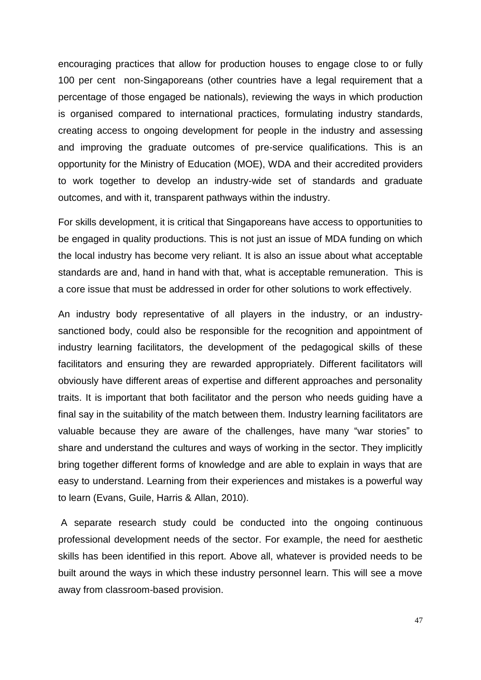encouraging practices that allow for production houses to engage close to or fully 100 per cent non-Singaporeans (other countries have a legal requirement that a percentage of those engaged be nationals), reviewing the ways in which production is organised compared to international practices, formulating industry standards, creating access to ongoing development for people in the industry and assessing and improving the graduate outcomes of pre-service qualifications. This is an opportunity for the Ministry of Education (MOE), WDA and their accredited providers to work together to develop an industry-wide set of standards and graduate outcomes, and with it, transparent pathways within the industry.

For skills development, it is critical that Singaporeans have access to opportunities to be engaged in quality productions. This is not just an issue of MDA funding on which the local industry has become very reliant. It is also an issue about what acceptable standards are and, hand in hand with that, what is acceptable remuneration. This is a core issue that must be addressed in order for other solutions to work effectively.

An industry body representative of all players in the industry, or an industrysanctioned body, could also be responsible for the recognition and appointment of industry learning facilitators, the development of the pedagogical skills of these facilitators and ensuring they are rewarded appropriately. Different facilitators will obviously have different areas of expertise and different approaches and personality traits. It is important that both facilitator and the person who needs guiding have a final say in the suitability of the match between them. Industry learning facilitators are valuable because they are aware of the challenges, have many "war stories" to share and understand the cultures and ways of working in the sector. They implicitly bring together different forms of knowledge and are able to explain in ways that are easy to understand. Learning from their experiences and mistakes is a powerful way to learn (Evans, Guile, Harris & Allan, 2010).

A separate research study could be conducted into the ongoing continuous professional development needs of the sector. For example, the need for aesthetic skills has been identified in this report. Above all, whatever is provided needs to be built around the ways in which these industry personnel learn. This will see a move away from classroom-based provision.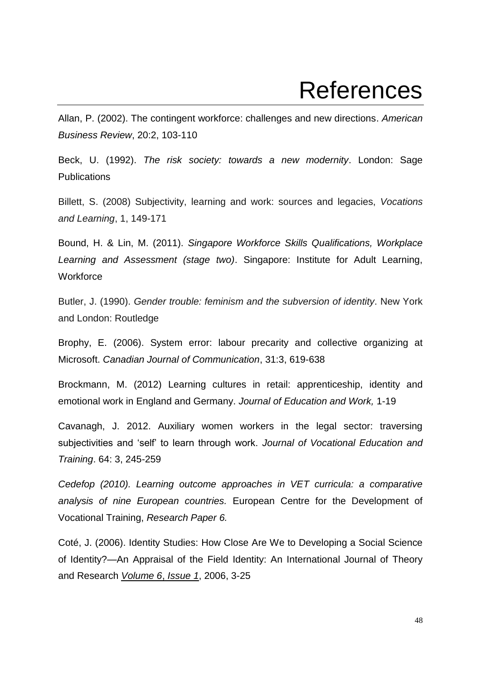### **References**

<span id="page-53-0"></span>Allan, P. (2002). The contingent workforce: challenges and new directions. *American Business Review*, 20:2, 103-110

Beck, U. (1992). *The risk society: towards a new modernity*. London: Sage Publications

Billett, S. (2008) Subjectivity, learning and work: sources and legacies, *Vocations and Learning*, 1, 149-171

Bound, H. & Lin, M. (2011). *Singapore Workforce Skills Qualifications, Workplace Learning and Assessment (stage two)*. Singapore: Institute for Adult Learning, **Workforce** 

Butler, J. (1990). *Gender trouble: feminism and the subversion of identity*. New York and London: Routledge

Brophy, E. (2006). System error: labour precarity and collective organizing at Microsoft. *Canadian Journal of Communication*, 31:3, 619-638

Brockmann, M. (2012) Learning cultures in retail: apprenticeship, identity and emotional work in England and Germany. *Journal of Education and Work,* 1-19

Cavanagh, J. 2012. Auxiliary women workers in the legal sector: traversing subjectivities and 'self' to learn through work. *Journal of Vocational Education and Training*. 64: 3, 245-259

*Cedefop (2010). Learning outcome approaches in VET curricula: a comparative analysis of nine European countries.* European Centre for the Development of Vocational Training, *Research Paper 6.*

Coté, J. (2006). Identity Studies: How Close Are We to Developing a Social Science of Identity?—An Appraisal of the Field Identity: An International Journal of Theory and Research *[Volume 6](http://www.tandfonline.com/loi/hidn20?open=6#vol_6)*, *[Issue 1](http://www.tandfonline.com/toc/hidn20/6/1)*, 2006, 3-25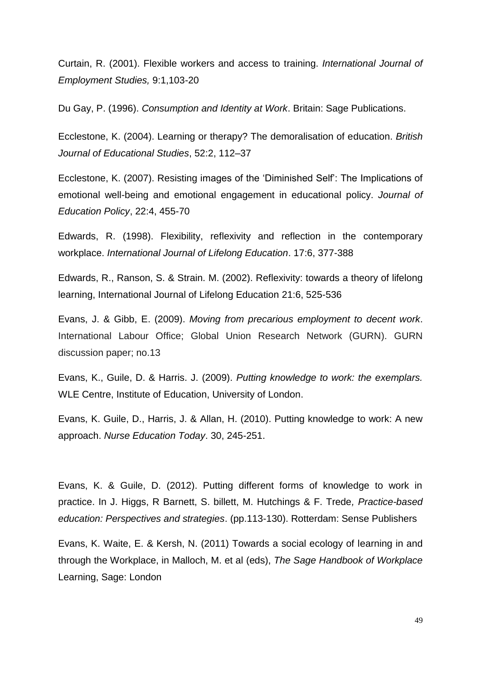Curtain, R. (2001). Flexible workers and access to training. *International Journal of Employment Studies,* 9:1,103-20

Du Gay, P. (1996). *Consumption and Identity at Work*. Britain: Sage Publications.

Ecclestone, K. (2004). Learning or therapy? The demoralisation of education. *British Journal of Educational Studies*, 52:2, 112–37

Ecclestone, K. (2007). Resisting images of the 'Diminished Self': The Implications of emotional well-being and emotional engagement in educational policy. *Journal of Education Policy*, 22:4, 455-70

Edwards, R. (1998). Flexibility, reflexivity and reflection in the contemporary workplace. *International Journal of Lifelong Education*. 17:6, 377-388

Edwards, R., Ranson, S. & Strain. M. (2002). Reflexivity: towards a theory of lifelong learning, International Journal of Lifelong Education 21:6, 525-536

Evans, J. & Gibb, E. (2009). *Moving from precarious employment to decent work*. International Labour Office; Global Union Research Network (GURN). GURN discussion paper; no.13

Evans, K., Guile, D. & Harris. J. (2009). *Putting knowledge to work: the exemplars.* WLE Centre, Institute of Education, University of London.

Evans, K. Guile, D., Harris, J. & Allan, H. (2010). Putting knowledge to work: A new approach. *Nurse Education Today*. 30, 245-251.

Evans, K. & Guile, D. (2012). Putting different forms of knowledge to work in practice. In J. Higgs, R Barnett, S. billett, M. Hutchings & F. Trede*, Practice-based education: Perspectives and strategies*. (pp.113-130). Rotterdam: Sense Publishers

Evans, K. Waite, E. & Kersh, N. (2011) Towards a social ecology of learning in and through the Workplace, in Malloch, M. et al (eds), *The Sage Handbook of Workplace* Learning, Sage: London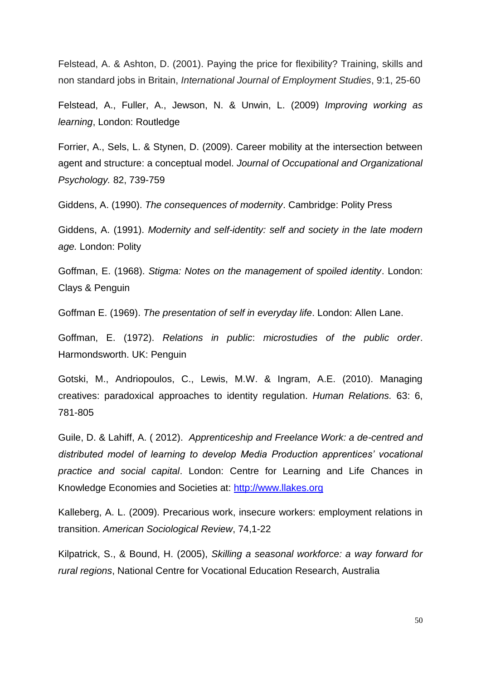Felstead, A. & Ashton, D. (2001). Paying the price for flexibility? Training, skills and non standard jobs in Britain, *International Journal of Employment Studies*, 9:1, 25-60

Felstead, A., Fuller, A., Jewson, N. & Unwin, L. (2009) *Improving working as learning*, London: Routledge

Forrier, A., Sels, L. & Stynen, D. (2009). Career mobility at the intersection between agent and structure: a conceptual model. *Journal of Occupational and Organizational Psychology.* 82, 739-759

Giddens, A. (1990). *The consequences of modernity*. Cambridge: Polity Press

Giddens, A. (1991). *Modernity and self-identity: self and society in the late modern age.* London: Polity

Goffman, E. (1968). *Stigma: Notes on the management of spoiled identity*. London: Clays & Penguin

Goffman E. (1969). *The presentation of self in everyday life*. London: Allen Lane.

Goffman, E. (1972). *Relations in public*: *microstudies of the public order*. Harmondsworth. UK: Penguin

Gotski, M., Andriopoulos, C., Lewis, M.W. & Ingram, A.E. (2010). Managing creatives: paradoxical approaches to identity regulation. *Human Relations.* 63: 6, 781-805

Guile, D. & Lahiff, A. ( 2012). *Apprenticeship and Freelance Work: a de-centred and distributed model of learning to develop Media Production apprentices' vocational practice and social capital*. London: Centre for Learning and Life Chances in Knowledge Economies and Societies at: [http://www.llakes.org](http://www.llakes.org/)

Kalleberg, A. L. (2009). Precarious work, insecure workers: employment relations in transition. *American Sociological Review*, 74,1-22

Kilpatrick, S., & Bound, H. (2005), *Skilling a seasonal workforce: a way forward for rural regions*, National Centre for Vocational Education Research, Australia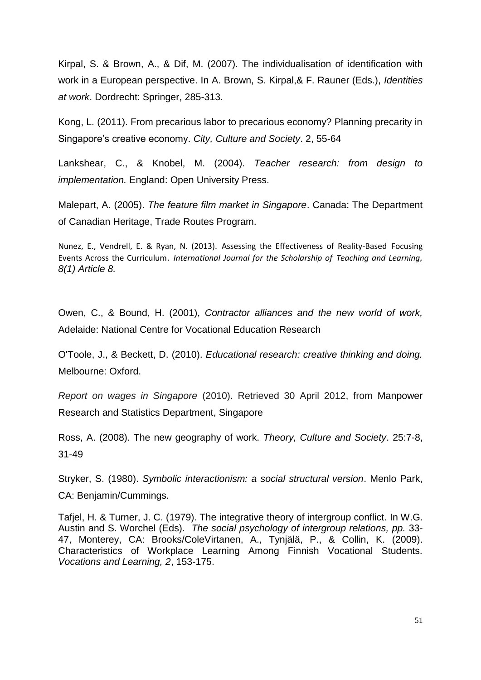Kirpal, S. & Brown, A., & Dif, M. (2007). The individualisation of identification with work in a European perspective. In A. Brown, S. Kirpal,& F. Rauner (Eds.), *Identities at work*. Dordrecht: Springer, 285-313.

Kong, L. (2011). From precarious labor to precarious economy? Planning precarity in Singapore's creative economy. *City, Culture and Society*. 2, 55-64

Lankshear, C., & Knobel, M. (2004). *Teacher research: from design to implementation.* England: Open University Press.

Malepart, A. (2005). *The feature film market in Singapore*. Canada: The Department of Canadian Heritage, Trade Routes Program.

Nunez, E., Vendrell, E. & Ryan, N. (2013). Assessing the Effectiveness of Reality-Based Focusing Events Across the Curriculum. *International Journal for the Scholarship of Teaching and Learning, 8(1) Article 8.*

Owen, C., & Bound, H. (2001), *Contractor alliances and the new world of work,*  Adelaide: National Centre for Vocational Education Research

O'Toole, J., & Beckett, D. (2010). *Educational research: creative thinking and doing.* Melbourne: Oxford.

*Report on wages in Singapore* (2010). Retrieved 30 April 2012, from Manpower Research and Statistics Department, Singapore

Ross, A. (2008). The new geography of work. *Theory, Culture and Society*. 25:7-8, 31-49

Stryker, S. (1980). *Symbolic interactionism: a social structural version*. Menlo Park, CA: Benjamin/Cummings.

Tafjel, H. & Turner, J. C. (1979). The integrative theory of intergroup conflict. In W.G. Austin and S. Worchel (Eds). *The social psychology of intergroup relations, pp.* 33- 47, Monterey, CA: Brooks/ColeVirtanen, A., Tynjälä, P., & Collin, K. (2009). Characteristics of Workplace Learning Among Finnish Vocational Students. *Vocations and Learning, 2*, 153-175.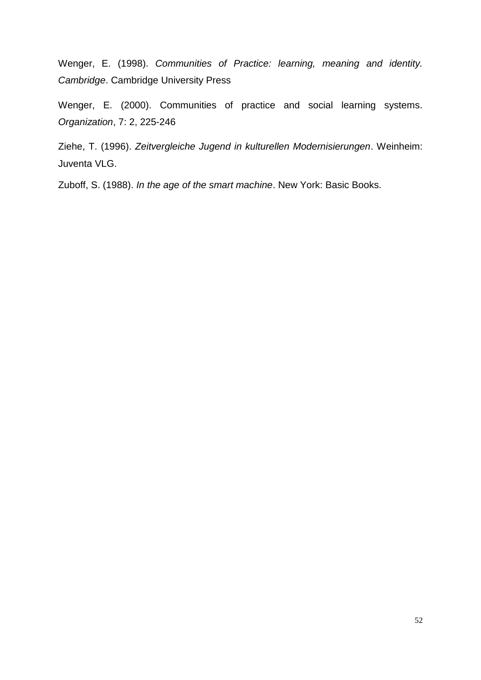Wenger, E. (1998). *Communities of Practice: learning, meaning and identity. Cambridge*. Cambridge University Press

Wenger, E. (2000). Communities of practice and social learning systems. *Organization*, 7: 2, 225-246

Ziehe, T. (1996). *Zeitvergleiche Jugend in kulturellen Modernisierungen*. Weinheim: Juventa VLG.

Zuboff, S. (1988). *In the age of the smart machine*. New York: Basic Books.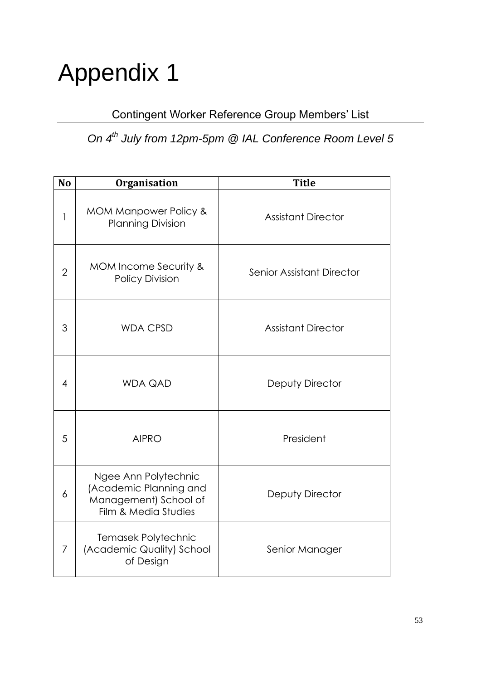# <span id="page-58-0"></span>Appendix 1

### Contingent Worker Reference Group Members' List

### *On 4th July from 12pm-5pm @ IAL Conference Room Level 5*

| N <sub>o</sub> | Organisation                                                                                    | <b>Title</b>              |
|----------------|-------------------------------------------------------------------------------------------------|---------------------------|
| 1              | MOM Manpower Policy &<br><b>Planning Division</b>                                               | <b>Assistant Director</b> |
| $\overline{2}$ | MOM Income Security &<br><b>Policy Division</b>                                                 | Senior Assistant Director |
| 3              | <b>WDA CPSD</b>                                                                                 | <b>Assistant Director</b> |
| $\overline{4}$ | <b>WDA QAD</b>                                                                                  | Deputy Director           |
| 5              | <b>AIPRO</b>                                                                                    | President                 |
| 6              | Ngee Ann Polytechnic<br>(Academic Planning and<br>Management) School of<br>Film & Media Studies | Deputy Director           |
| 7              | Temasek Polytechnic<br>(Academic Quality) School<br>of Design                                   | Senior Manager            |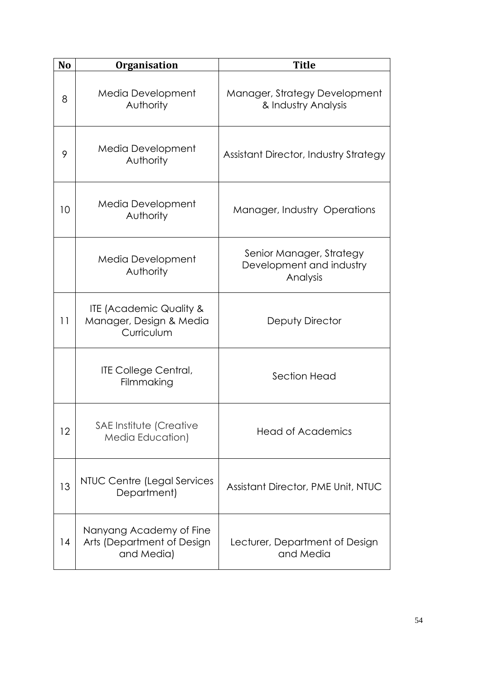| N <sub>o</sub> | <b>Organisation</b>                                                         | <b>Title</b>                                                     |
|----------------|-----------------------------------------------------------------------------|------------------------------------------------------------------|
| 8              | Media Development<br>Authority                                              | Manager, Strategy Development<br>& Industry Analysis             |
| 9              | Media Development<br>Authority                                              | <b>Assistant Director, Industry Strategy</b>                     |
| 10             | Media Development<br>Authority                                              | Manager, Industry Operations                                     |
|                | Media Development<br>Authority                                              | Senior Manager, Strategy<br>Development and industry<br>Analysis |
| 11             | <b>ITE (Academic Quality &amp;</b><br>Manager, Design & Media<br>Curriculum | Deputy Director                                                  |
|                | <b>ITE College Central,</b><br>Filmmaking                                   | Section Head                                                     |
| 12             | SAE Institute (Creative<br><b>Media Education)</b>                          | <b>Head of Academics</b>                                         |
| 13             | NTUC Centre (Legal Services<br>Department)                                  | Assistant Director, PME Unit, NTUC                               |
| 14             | Nanyang Academy of Fine<br>Arts (Department of Design<br>and Media)         | Lecturer, Department of Design<br>and Media                      |